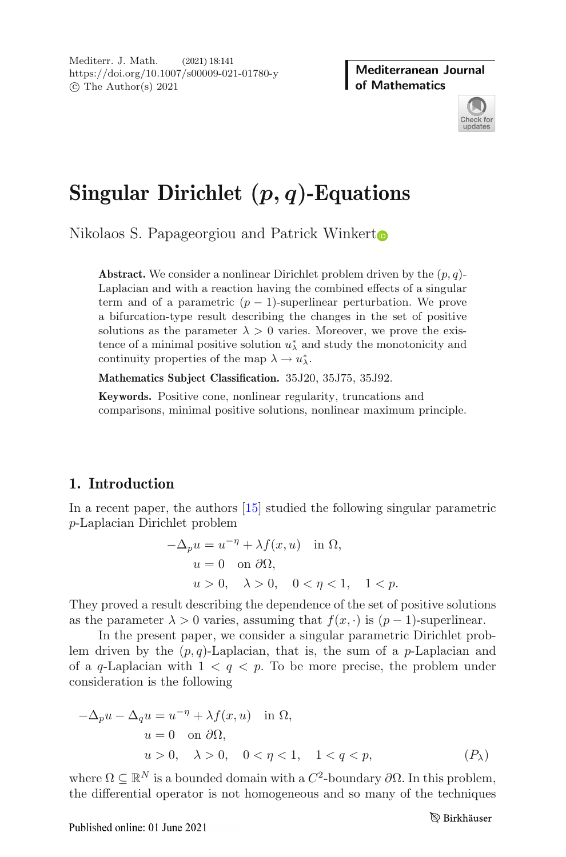Mediterranean Journal **of Mathematics** 



# **Singular Dirichlet (***p, q***)-Equations**

Nikolaos S. Papageorgiou and Patrick Winker[t](http://orcid.org/0000-0003-0320-7026)

**Abstract.** We consider a nonlinear Dirichlet problem driven by the  $(p, q)$ -Laplacian and with a reaction having the combined effects of a singular term and of a parametric  $(p-1)$ -superlinear perturbation. We prove a bifurcation-type result describing the changes in the set of positive solutions as the parameter  $\lambda > 0$  varies. Moreover, we prove the existence of a minimal positive solution  $u^*_{\lambda}$  and study the monotonicity and continuity properties of the map  $\lambda \to u_{\lambda}^*$ .

**Mathematics Subject Classification.** 35J20, 35J75, 35J92.

**Keywords.** Positive cone, nonlinear regularity, truncations and comparisons, minimal positive solutions, nonlinear maximum principle.

## **1. Introduction**

In a recent paper, the authors [\[15\]](#page-18-0) studied the following singular parametric p-Laplacian Dirichlet problem

$$
-\Delta_p u = u^{-\eta} + \lambda f(x, u) \quad \text{in } \Omega,
$$
  
\n
$$
u = 0 \quad \text{on } \partial\Omega,
$$
  
\n
$$
u > 0, \quad \lambda > 0, \quad 0 < \eta < 1, \quad 1 < p.
$$

They proved a result describing the dependence of the set of positive solutions as the parameter  $\lambda > 0$  varies, assuming that  $f(x, \cdot)$  is  $(p-1)$ -superlinear.

In the present paper, we consider a singular parametric Dirichlet problem driven by the  $(p, q)$ -Laplacian, that is, the sum of a p-Laplacian and of a q-Laplacian with  $1 < q < p$ . To be more precise, the problem under consideration is the following

$$
-\Delta_p u - \Delta_q u = u^{-\eta} + \lambda f(x, u) \quad \text{in } \Omega,
$$
  
\n
$$
u = 0 \quad \text{on } \partial\Omega,
$$
  
\n
$$
u > 0, \quad \lambda > 0, \quad 0 < \eta < 1, \quad 1 < q < p,
$$
  
\n
$$
(P_\lambda)
$$

where  $\Omega \subseteq \mathbb{R}^N$  is a bounded domain with a  $C^2$ -boundary  $\partial \Omega$ . In this problem, the differential operator is not homogeneous and so many of the techniques the differential operator is not homogeneous and so many of the techniques

Published online: 01 June 2021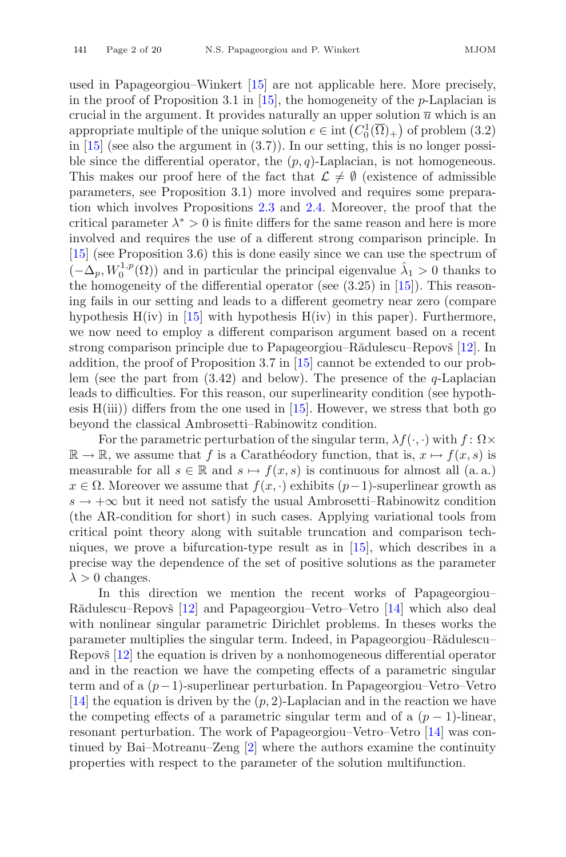used in Papageorgiou–Winkert [\[15](#page-18-0)] are not applicable here. More precisely, in the proof of Proposition 3.1 in [\[15\]](#page-18-0), the homogeneity of the *p*-Laplacian is crucial in the argument. It provides naturally an upper solution  $\bar{u}$  which is an crucial in the argument. It provides naturally an upper solution  $\overline{u}$  which is an appropriate multiple of the unique solution  $e \in \text{int}\left(\overline{C_2^1}(\overline{\Omega})\right)$  of problem (3.2) appropriate multiple of the unique solution  $e \in \text{int}\left(C_0^1(\overline{\Omega})_+\right)$  of problem (3.2)<br>in [15] (see also the argument in (3.7)). In our setting this is no longer possiin  $[15]$  (see also the argument in  $(3.7)$ ). In our setting, this is no longer possible since the differential operator, the  $(p, q)$ -Laplacian, is not homogeneous. This makes our proof here of the fact that  $\mathcal{L} \neq \emptyset$  (existence of admissible parameters, see Proposition 3.1) more involved and requires some preparation which involves Propositions [2.3](#page-5-0) and [2.4.](#page-5-1) Moreover, the proof that the critical parameter  $\lambda^* > 0$  is finite differs for the same reason and here is more involved and requires the use of a different strong comparison principle. In [\[15](#page-18-0)] (see Proposition 3.6) this is done easily since we can use the spectrum of  $(-\Delta_p, W_0^{1,p}(\Omega))$  and in particular the principal eigenvalue  $\hat{\lambda}_1 > 0$  thanks to the homogeneity of the differential operator (see (3.25) in [15]). This reasonthe homogeneity of the differential operator (see (3.25) in [\[15](#page-18-0)]). This reasoning fails in our setting and leads to a different geometry near zero (compare hypothesis  $H(iv)$  in [\[15](#page-18-0)] with hypothesis  $H(iv)$  in this paper). Furthermore, we now need to employ a different comparison argument based on a recent strong comparison principle due to Papageorgiou–Rădulescu–Repovš [\[12\]](#page-18-2). In addition, the proof of Proposition 3.7 in [\[15\]](#page-18-0) cannot be extended to our problem (see the part from  $(3.42)$  and below). The presence of the *q*-Laplacian leads to difficulties. For this reason, our superlinearity condition (see hypothesis  $H(iii)$  differs from the one used in [\[15](#page-18-0)]. However, we stress that both go beyond the classical Ambrosetti–Rabinowitz condition.

For the parametric perturbation of the singular term,  $\lambda f(\cdot, \cdot)$  with  $f: \Omega \times$  $\mathbb{R} \to \mathbb{R}$ , we assume that f is a Caratheodory function, that is,  $x \mapsto f(x, s)$  is measurable for all  $s \in \mathbb{R}$  and  $s \mapsto f(x, s)$  is continuous for almost all  $(a, a)$  $x \in \Omega$ . Moreover we assume that  $f(x, \cdot)$  exhibits  $(p-1)$ -superlinear growth as  $s \to +\infty$  but it need not satisfy the usual Ambrosetti–Rabinowitz condition (the AR-condition for short) in such cases. Applying variational tools from critical point theory along with suitable truncation and comparison techniques, we prove a bifurcation-type result as in [\[15](#page-18-0)], which describes in a precise way the dependence of the set of positive solutions as the parameter  $\lambda > 0$  changes.

In this direction we mention the recent works of Papageorgiou– Rădulescu–Repovš  $[12]$  $[12]$  and Papageorgiou–Vetro–Vetro  $[14]$  $[14]$  which also deal with nonlinear singular parametric Dirichlet problems. In theses works the parameter multiplies the singular term. Indeed, in Papageorgiou–Rădulescu– Repovš  $[12]$  the equation is driven by a nonhomogeneous differential operator and in the reaction we have the competing effects of a parametric singular term and of a (p−1)-superlinear perturbation. In Papageorgiou–Vetro–Vetro [\[14](#page-18-3)] the equation is driven by the  $(p, 2)$ -Laplacian and in the reaction we have the competing effects of a parametric singular term and of a  $(p-1)$ -linear, resonant perturbation. The work of Papageorgiou–Vetro–Vetro [\[14](#page-18-3)] was continued by Bai–Motreanu–Zeng [\[2](#page-18-4)] where the authors examine the continuity properties with respect to the parameter of the solution multifunction.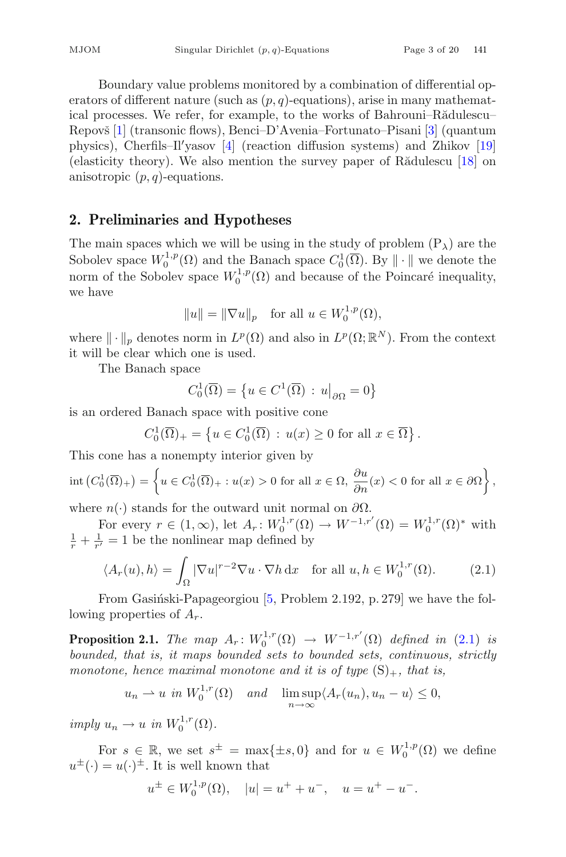Boundary value problems monitored by a combination of differential operators of different nature (such as  $(p, q)$ -equations), arise in many mathematical processes. We refer, for example, to the works of Bahrouni–Rădulescu– Repovš [\[1](#page-18-5)] (transonic flows), Benci–D'Avenia–Fortunato–Pisani [\[3](#page-18-6)] (quantum physics), Cherfils–Il yasov [\[4](#page-18-7)] (reaction diffusion systems) and Zhikov [\[19\]](#page-19-0) (elasticity theory). We also mention the survey paper of R $\tilde{a}$ dulescu [\[18](#page-19-1)] on anisotropic  $(p, q)$ -equations.

### **2. Preliminaries and Hypotheses**

The main spaces which we will be using in the study of problem  $(P_\lambda)$  are the Sobolev space  $W_0^{1,p}(\Omega)$  and the Banach space  $C_0^1(\overline{\Omega})$ . By  $\|\cdot\|$  we denote the point of the Sobolev space  $W_0^{1,p}(\Omega)$  and because of the Poincaré inequality norm of the Sobolev space  $W_0^{1,p}(\Omega)$  and because of the Poincaré inequality, we have

$$
||u|| = ||\nabla u||_p \quad \text{for all } u \in W_0^{1,p}(\Omega),
$$

where  $\|\cdot\|_p$  denotes norm in  $L^p(\Omega)$  and also in  $L^p(\Omega;\mathbb{R}^N)$ . From the context it will be clear which one is used.

The Banach space

$$
C_0^1(\overline{\Omega}) = \left\{ u \in C^1(\overline{\Omega}) \, : \, u\big|_{\partial \Omega} = 0 \right\}
$$

is an ordered Banach space with positive cone

 $C_0^1(\overline{\Omega})_+ = \left\{ u \in C_0^1(\overline{\Omega}) : u(x) \ge 0 \text{ for all } x \in \overline{\Omega} \right\}$ 

This cone has a nonempty interior given by

$$
\operatorname{int}\left(C_0^1(\overline{\Omega})_+\right) = \left\{ u \in C_0^1(\overline{\Omega})_+ : u(x) > 0 \text{ for all } x \in \Omega, \frac{\partial u}{\partial n}(x) < 0 \text{ for all } x \in \partial\Omega \right\},\
$$

where  $n(\cdot)$  stands for the outward unit normal on  $\partial\Omega$ .<br>For every  $r \in (1, \infty)$  let  $A : W^{1,r}(\Omega) \to W^{-1,r}$ 

For every  $r \in (1,\infty)$ , let  $A_r: W_0^{1,r}(\Omega) \to W^{-1,r'}(\Omega) = W_0^{1,r}(\Omega)^*$  with  $\frac{1}{r} - 1$  be the nonlinear man defined by  $\frac{1}{r} + \frac{1}{r'} = 1$  be the nonlinear map defined by

<span id="page-2-0"></span>
$$
\langle A_r(u), h \rangle = \int_{\Omega} |\nabla u|^{r-2} \nabla u \cdot \nabla h \, dx \quad \text{for all } u, h \in W_0^{1,r}(\Omega). \tag{2.1}
$$

<span id="page-2-1"></span>From Gasiński-Papageorgiou  $[5,$  $[5,$  Problem 2.192, p. 279] we have the following properties of  $A_r$ .

**Proposition 2.1.** *The map*  $A_r: W_0^{1,r}(\Omega) \to W^{-1,r'}(\Omega)$  *defined in* [\(2.1\)](#page-2-0) *is bounded that is it mans bounded sets to bounded sets continuous strictly bounded, that is, it maps bounded sets to bounded sets, continuous, strictly monotone, hence maximal monotone and it is of type*  $(S)_+$ *, that is,* 

$$
u_n \rightharpoonup u
$$
 in  $W_0^{1,r}(\Omega)$  and  $\lim_{n \to \infty} \sup \langle A_r(u_n), u_n - u \rangle \leq 0$ ,

 $imply u_n \to u \text{ in } W_0^{1,r}(\Omega).$ 

For  $s \in \mathbb{R}$ , we set  $s^{\pm} = \max\{\pm s, 0\}$  and for  $u \in W_0^{1,p}(\Omega)$  we define  $-u(\cdot)^{\pm}$ . It is well known that  $u^{\pm}(\cdot) = u(\cdot)^{\pm}$ . It is well known that

$$
u^{\pm} \in W_0^{1,p}(\Omega), \quad |u| = u^+ + u^-, \quad u = u^+ - u^-.
$$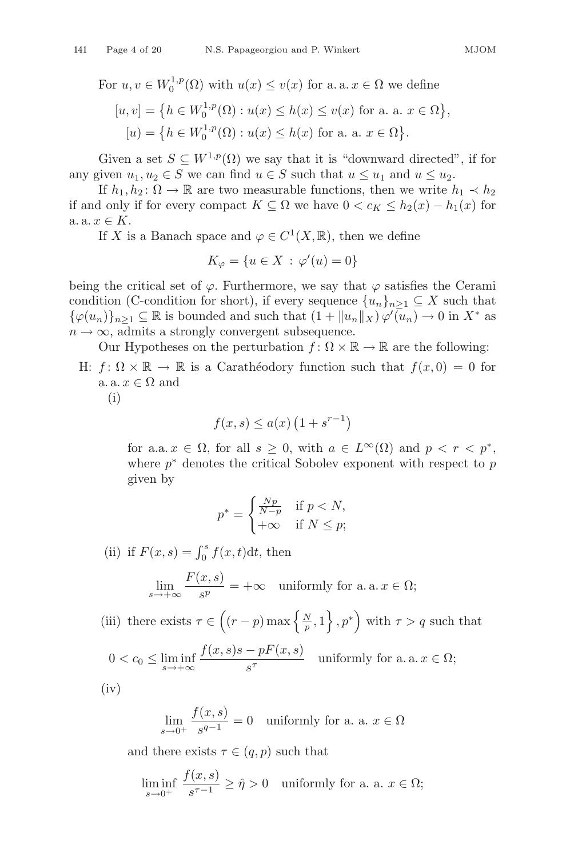For  $u, v \in W_0^{1,p}(\Omega)$  with  $u(x) \le v(x)$  for a. a.  $x \in \Omega$  we define  $[u, v] = \{h \in W_0^{1, p}(\Omega) : u(x) \le h(x) \le v(x) \text{ for a. a. } x \in \Omega\}$ ,  $[u] = \left\{ h \in W_0^{1,p}(\Omega) : u(x) \le h(x) \text{ for a. a. } x \in \Omega \right\}$ 

Given a set  $S \subseteq W^{1,p}(\Omega)$  we say that it is "downward directed", if for any given  $u_1, u_2 \in S$  we can find  $u \in S$  such that  $u \leq u_1$  and  $u \leq u_2$ .

If  $h_1, h_2 : \Omega \to \mathbb{R}$  are two measurable functions, then we write  $h_1 \prec h_2$ if and only if for every compact  $K \subseteq \Omega$  we have  $0 < c_K \leq h_2(x) - h_1(x)$  for a.  $x \in K$ .

If X is a Banach space and  $\varphi \in C^1(X, \mathbb{R})$ , then we define

$$
K_{\varphi} = \{ u \in X \, : \, \varphi'(u) = 0 \}
$$

being the critical set of  $\varphi$ . Furthermore, we say that  $\varphi$  satisfies the Cerami condition (C-condition for short), if every sequence  ${u_n}_{n\geq 1} \subseteq X$  such that  $\{\varphi(u_n)\}_{n\geq 1} \subseteq \mathbb{R}$  is bounded and such that  $(1 + ||u_n||_X) \varphi'(u_n) \to 0$  in  $X^*$  as  $n \to \infty$  admits a strongly convergent subsequence  $n \to \infty$ , admits a strongly convergent subsequence.

Our Hypotheses on the perturbation  $f: \Omega \times \mathbb{R} \to \mathbb{R}$  are the following:

H:  $f: \Omega \times \mathbb{R} \to \mathbb{R}$  is a Carathéodory function such that  $f(x, 0) = 0$  for a. a.  $x \in \Omega$  and

(i)

$$
f(x,s) \le a(x) \left(1 + s^{r-1}\right)
$$

for a.a.  $x \in \Omega$ , for all  $s \geq 0$ , with  $a \in L^{\infty}(\Omega)$  and  $p < r < p^*$ , where  $p^*$  denotes the critical Sobolev exponent with respect to p given by

$$
p^* = \begin{cases} \frac{Np}{N-p} & \text{if } p < N, \\ +\infty & \text{if } N \le p; \end{cases}
$$

(ii) if  $F(x, s) = \int_0^s f(x, t) dt$ , then

$$
\lim_{s \to +\infty} \frac{F(x, s)}{s^p} = +\infty \quad \text{uniformly for a. a. } x \in \Omega;
$$

(iii) there exists  $\tau \in \left( (r-p) \max \left\{ \frac{N}{p}, 1 \right\}, p^* \right)$  with  $\tau > q$  such that

$$
0 < c_0 \le \liminf_{s \to +\infty} \frac{f(x, s)s - pF(x, s)}{s^{\tau}} \quad \text{uniformly for a. a. } x \in \Omega;
$$

 $(iv)$ 

$$
\lim_{s \to 0^+} \frac{f(x, s)}{s^{q-1}} = 0 \quad \text{uniformly for a. a. } x \in \Omega
$$

and there exists  $\tau \in (q, p)$  such that

$$
\liminf_{s \to 0^+} \frac{f(x,s)}{s^{\tau - 1}} \ge \hat{\eta} > 0 \quad \text{uniformly for a. a. } x \in \Omega;
$$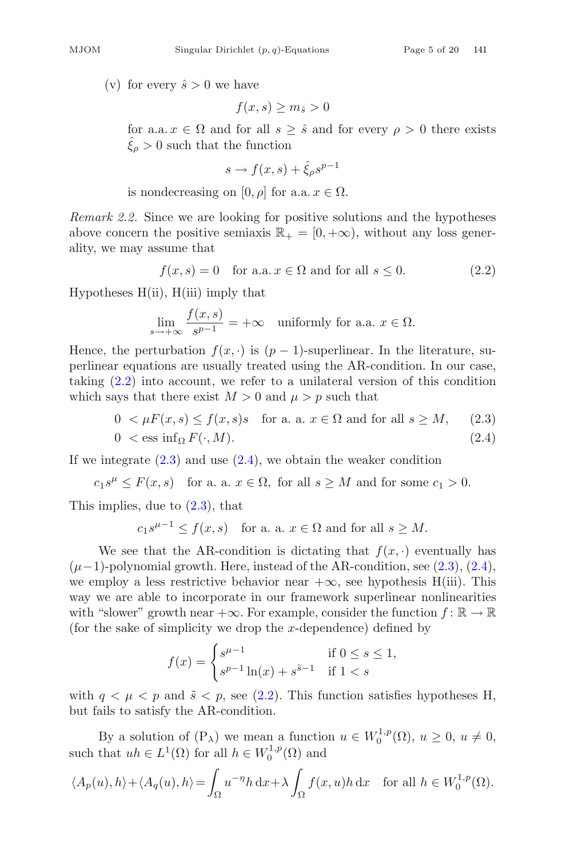(v) for every  $\hat{s} > 0$  we have

$$
f(x,s) \ge m_{\hat{s}} > 0
$$

for a.a.  $x \in \Omega$  and for all  $s \geq \hat{s}$  and for every  $\rho > 0$  there exists  $\hat{\xi}_o > 0$  such that the function

$$
s \to f(x, s) + \hat{\xi}_{\rho} s^{p-1}
$$

is nondecreasing on [0,  $\rho$ ] for a.a.  $x \in \Omega$ .

*Remark 2.2.* Since we are looking for positive solutions and the hypotheses above concern the positive semiaxis  $\mathbb{R}_+ = [0, +\infty)$ , without any loss generality, we may assume that

<span id="page-4-0"></span>
$$
f(x,s) = 0 \quad \text{for a.a. } x \in \Omega \text{ and for all } s \le 0. \tag{2.2}
$$

Hypotheses  $H(ii)$ ,  $H(iii)$  imply that

$$
\lim_{s \to +\infty} \frac{f(x, s)}{s^{p-1}} = +\infty \quad \text{uniformly for a.a. } x \in \Omega.
$$

Hence, the perturbation  $f(x, \cdot)$  is  $(p-1)$ -superlinear. In the literature, superlinear equations are usually treated using the AR-condition. In our case perlinear equations are usually treated using the AR-condition. In our case, taking [\(2.2\)](#page-4-0) into account, we refer to a unilateral version of this condition which says that there exist  $M > 0$  and  $\mu > p$  such that

<span id="page-4-1"></span>
$$
0 < \mu F(x, s) \le f(x, s)s \quad \text{for a. a. } x \in \Omega \text{ and for all } s \ge M,\tag{2.3}
$$
\n
$$
0 < \text{ess inf}_{\Omega} F(\cdot, M). \tag{2.4}
$$

If we integrate  $(2.3)$  and use  $(2.4)$ , we obtain the weaker condition

$$
c_1 s^{\mu} \le F(x, s)
$$
 for a. a.  $x \in \Omega$ , for all  $s \ge M$  and for some  $c_1 > 0$ .

This implies, due to [\(2.3\)](#page-4-1), that

$$
c_1 s^{\mu-1} \le f(x, s)
$$
 for a. a.  $x \in \Omega$  and for all  $s \ge M$ .

We see that the AR-condition is dictating that  $f(x, \cdot)$  eventually has  $(\mu-1)$ -polynomial growth. Here, instead of the AR-condition, see [\(2.3\)](#page-4-1), [\(2.4\)](#page-4-1), we employ a less restrictive behavior near  $+\infty$ , see hypothesis H(iii). This way we are able to incorporate in our framework superlinear nonlinearities with "slower" growth near  $+\infty$ . For example, consider the function  $f : \mathbb{R} \to \mathbb{R}$ (for the sake of simplicity we drop the x-dependence) defined by

$$
f(x) = \begin{cases} s^{\mu - 1} & \text{if } 0 \le s \le 1, \\ s^{p - 1} \ln(x) + s^{\tilde{s} - 1} & \text{if } 1 < s \end{cases}
$$

with  $q \leq \mu \leq p$  and  $\tilde{s} \leq p$ , see [\(2.2\)](#page-4-0). This function satisfies hypotheses H, but fails to satisfy the AR-condition.

By a solution of  $(P_\lambda)$  we mean a function  $u \in W_0^{1,p}(\Omega)$ ,  $u \geq 0$ ,  $u \neq 0$ ,<br>that  $u h \in L^{1}(\Omega)$  for all  $h \in W_0^{1,p}(\Omega)$  and such that  $uh \in L^1(\Omega)$  for all  $h \in W_0^{1,p}(\Omega)$  and

$$
\langle A_p(u), h \rangle + \langle A_q(u), h \rangle = \int_{\Omega} u^{-\eta} h \, dx + \lambda \int_{\Omega} f(x, u) h \, dx \quad \text{for all } h \in W_0^{1, p}(\Omega).
$$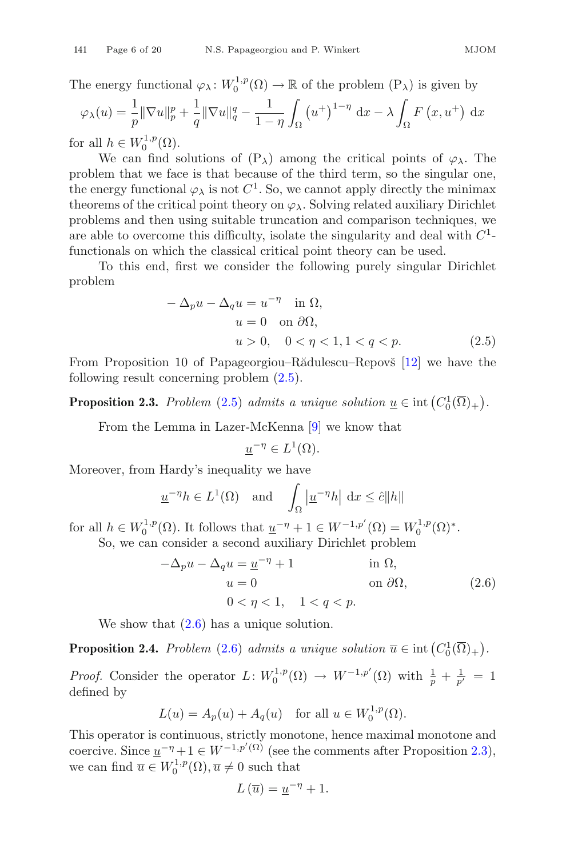The energy functional  $\varphi_{\lambda} : W_0^{1,p}(\Omega) \to \mathbb{R}$  of the problem  $(P_{\lambda})$  is given by

$$
\varphi_{\lambda}(u) = \frac{1}{p} \|\nabla u\|_{p}^{p} + \frac{1}{q} \|\nabla u\|_{q}^{q} - \frac{1}{1-\eta} \int_{\Omega} \left(u^{+}\right)^{1-\eta} dx - \lambda \int_{\Omega} F\left(x, u^{+}\right) dx
$$
  
r all  $b \in W^{1,p}(\Omega)$ 

for all  $h \in W_0^{1,p}(\Omega)$ .<br>We can find s

We can find solutions of  $(P_\lambda)$  among the critical points of  $\varphi_\lambda$ . The problem that we face is that because of the third term, so the singular one, the energy functional  $\varphi_{\lambda}$  is not  $C^1$ . So, we cannot apply directly the minimax theorems of the critical point theory on  $\varphi_{\lambda}$ . Solving related auxiliary Dirichlet problems and then using suitable truncation and comparison techniques, we are able to overcome this difficulty, isolate the singularity and deal with  $C<sup>1</sup>$ functionals on which the classical critical point theory can be used.

To this end, first we consider the following purely singular Dirichlet problem

<span id="page-5-2"></span>
$$
-\Delta_p u - \Delta_q u = u^{-\eta} \quad \text{in } \Omega,
$$
  
\n
$$
u = 0 \quad \text{on } \partial\Omega,
$$
  
\n
$$
u > 0, \quad 0 < \eta < 1, 1 < q < p.
$$
  
\n(2.5)

<span id="page-5-0"></span>From Proposition 10 of Papageorgiou–Rădulescu–Repovš [\[12](#page-18-2)] we have the following result concerning problem [\(2.5\)](#page-5-2).

**Proposition 2.3.** *Problem* [\(2.5\)](#page-5-2) *admits a unique solution*  $\underline{u} \in \text{int}(C_0^1(\overline{\Omega})_+)$ .

From the Lemma in Lazer-McKenna [\[9](#page-18-9)] we know that

$$
\underline{u}^{-\eta} \in L^1(\Omega).
$$

Moreover, from Hardy's inequality we have

$$
\underline{u}^{-\eta}h \in L^{1}(\Omega) \quad \text{and} \quad \int_{\Omega} \left| \underline{u}^{-\eta}h \right| \, \mathrm{d}x \leq \hat{c} \|h\|
$$

for all  $h \in W_0^{1,p}(\Omega)$ . It follows that  $\underline{u}^{-\eta} + 1 \in W^{-1,p'}(\Omega) = W_0^{1,p}(\Omega)^*$ .<br>So we can consider a second auxiliary Dirichlet problem

So, we can consider a second auxiliary Dirichlet problem

<span id="page-5-3"></span>
$$
-\Delta_p u - \Delta_q u = \underline{u}^{-\eta} + 1 \qquad \text{in } \Omega,
$$
  
\n
$$
u = 0 \qquad \text{on } \partial\Omega,
$$
  
\n
$$
0 < \eta < 1, \quad 1 < q < p. \tag{2.6}
$$

We show that  $(2.6)$  has a unique solution.

<span id="page-5-1"></span>**Proposition 2.4.** *Problem* [\(2.6\)](#page-5-3) *admits a unique solution*  $\overline{u} \in \text{int}(C_0^1(\overline{\Omega})_+)$ .

*Proof.* Consider the operator  $L: W_0^{1,p}(\Omega) \to W^{-1,p'}(\Omega)$  with  $\frac{1}{p} + \frac{1}{p'} = 1$ defined by

$$
L(u) = A_p(u) + A_q(u)
$$
 for all  $u \in W_0^{1,p}(\Omega)$ .

This operator is continuous, strictly monotone, hence maximal monotone and coercive. Since  $\underline{u}^{-\eta} + 1 \in W^{-1,p'(\Omega)}$  (see the comments after Proposition [2.3\)](#page-5-0),<br>we see find  $\overline{u} \in W^{1,p}(\Omega)$ ,  $\overline{u} \neq 0$  such that we can find  $\overline{u} \in W_0^{1,p}(\Omega), \overline{u} \neq 0$  such that

$$
L\left(\overline{u}\right) = \underline{u}^{-\eta} + 1.
$$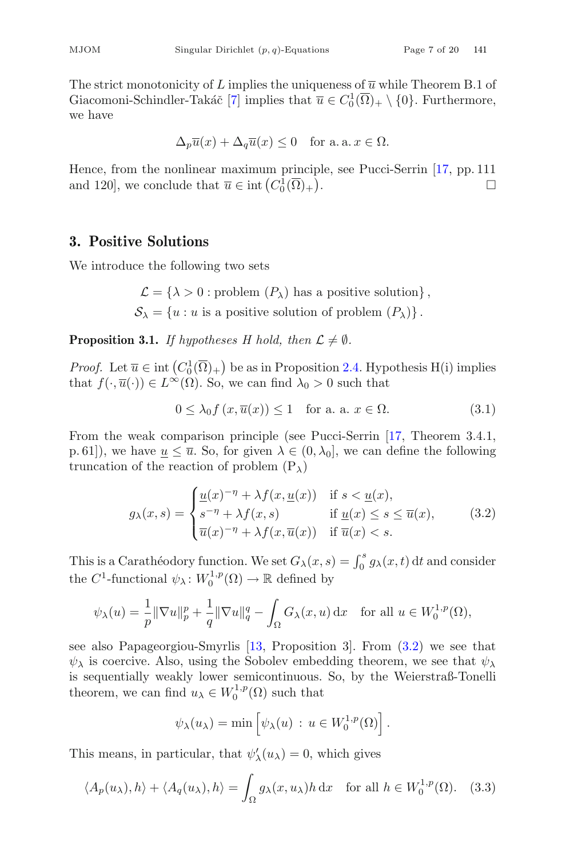The strict monotonicity of L implies the uniqueness of  $\overline{u}$  while Theorem B.1 of Giacomoni-Schindler-Takáč [\[7](#page-18-10)] implies that  $\overline{u} \in C_0^1(\overline{\Omega})_+ \setminus \{0\}$ . Furthermore, we have we have

$$
\Delta_p \overline{u}(x) + \Delta_q \overline{u}(x) \le 0 \quad \text{for a. a. } x \in \Omega.
$$

Hence, from the nonlinear maximum principle, see Pucci-Serrin [\[17,](#page-19-2) pp. 111 and 120], we conclude that  $\overline{u} \in \text{int} (C_0^1(\overline{\Omega})_+)$ .  $\Box$ 

#### **3. Positive Solutions**

We introduce the following two sets

 $\mathcal{L} = {\lambda > 0 : \text{problem}(P_{\lambda}) \text{ has a positive solution}}.$  $S_{\lambda} = \{u : u \text{ is a positive solution of problem } (P_{\lambda})\}.$ 

**Proposition 3.1.** *If hypotheses H hold, then*  $\mathcal{L} \neq \emptyset$ *.* 

*Proof.* Let  $\overline{u} \in \text{int}\left(C_0^1(\overline{\Omega})_+\right)$  be as in Proposition [2.4.](#page-5-1) Hypothesis H(i) implies<br>that  $f(x, \overline{u}(x)) \in L^\infty(\Omega)$ . So, we can find  $\lambda_0 > 0$  such that that  $f(\cdot, \overline{u}(\cdot)) \in L^{\infty}(\Omega)$ . So, we can find  $\lambda_0 > 0$  such that

<span id="page-6-2"></span>
$$
0 \le \lambda_0 f(x, \overline{u}(x)) \le 1 \quad \text{for a. a. } x \in \Omega. \tag{3.1}
$$

From the weak comparison principle (see Pucci-Serrin [\[17,](#page-19-2) Theorem 3.4.1, p. 61]), we have  $u \leq \overline{u}$ . So, for given  $\lambda \in (0, \lambda_0]$ , we can define the following truncation of the reaction of problem  $(P_{\lambda})$ 

<span id="page-6-0"></span>
$$
g_{\lambda}(x,s) = \begin{cases} \underline{u}(x)^{-\eta} + \lambda f(x, \underline{u}(x)) & \text{if } s < \underline{u}(x), \\ s^{-\eta} + \lambda f(x,s) & \text{if } \underline{u}(x) \le s \le \overline{u}(x), \\ \overline{u}(x)^{-\eta} + \lambda f(x, \overline{u}(x)) & \text{if } \overline{u}(x) < s. \end{cases}
$$
(3.2)

This is a Carathéodory function. We set  $G_{\lambda}(x, s) = \int_0^s g_{\lambda}(x, t) dt$  and consider the  $C^1$ -functional  $\psi_\lambda \colon W_0^{1,p}(\Omega) \to \mathbb{R}$  defined by

$$
\psi_{\lambda}(u) = \frac{1}{p} \|\nabla u\|_{p}^{p} + \frac{1}{q} \|\nabla u\|_{q}^{q} - \int_{\Omega} G_{\lambda}(x, u) dx \quad \text{for all } u \in W_{0}^{1, p}(\Omega),
$$

see also Papageorgiou-Smyrlis [\[13,](#page-18-11) Proposition 3]. From [\(3.2\)](#page-6-0) we see that  $\psi_{\lambda}$  is coercive. Also, using the Sobolev embedding theorem, we see that  $\psi_{\lambda}$ is sequentially weakly lower semicontinuous. So, by the Weierstraß-Tonelli theorem, we can find  $u_{\lambda} \in W_0^{1,p}(\Omega)$  such that

$$
\psi_{\lambda}(u_{\lambda}) = \min \left[ \psi_{\lambda}(u) : u \in W_0^{1,p}(\Omega) \right].
$$

This means, in particular, that  $\psi'_{\lambda}(u_{\lambda}) = 0$ , which gives

<span id="page-6-1"></span>
$$
\langle A_p(u_\lambda), h \rangle + \langle A_q(u_\lambda), h \rangle = \int_{\Omega} g_\lambda(x, u_\lambda) h \, dx \quad \text{for all } h \in W_0^{1, p}(\Omega). \tag{3.3}
$$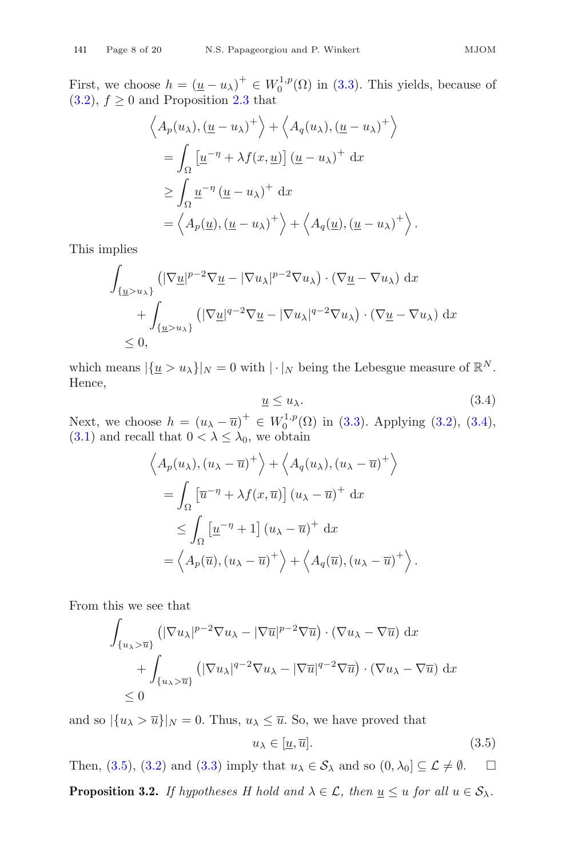First, we choose  $h = (\underline{u} - u_\lambda)^+ \in W_0^{1,p}(\Omega)$  in [\(3.3\)](#page-6-1). This yields, because of (3.2)  $f > 0$  and Proposition 2.3 that  $(3.2), f \geq 0$  $(3.2), f \geq 0$  and Proposition [2.3](#page-5-0) that

$$
\langle A_p(u_\lambda), (\underline{u} - u_\lambda)^+ \rangle + \langle A_q(u_\lambda), (\underline{u} - u_\lambda)^+ \rangle
$$
  
= 
$$
\int_{\Omega} \left[ \underline{u}^{-\eta} + \lambda f(x, \underline{u}) \right] (\underline{u} - u_\lambda)^+ dx
$$
  

$$
\geq \int_{\Omega} \underline{u}^{-\eta} (\underline{u} - u_\lambda)^+ dx
$$
  
= 
$$
\langle A_p(\underline{u}), (\underline{u} - u_\lambda)^+ \rangle + \langle A_q(\underline{u}), (\underline{u} - u_\lambda)^+ \rangle
$$

This implies

$$
\int_{\{\underline{u}>u_{\lambda}\}}\left(|\nabla \underline{u}|^{p-2}\nabla \underline{u}-|\nabla u_{\lambda}|^{p-2}\nabla u_{\lambda}\right)\cdot\left(\nabla \underline{u}-\nabla u_{\lambda}\right)dx
$$
\n
$$
+\int_{\{\underline{u}>u_{\lambda}\}}\left(|\nabla \underline{u}|^{q-2}\nabla \underline{u}-|\nabla u_{\lambda}|^{q-2}\nabla u_{\lambda}\right)\cdot\left(\nabla \underline{u}-\nabla u_{\lambda}\right)dx
$$
\n
$$
\leq 0,
$$

which means  $|\{\underline{u} > u_\lambda\}|_N = 0$  with  $|\cdot|_N$  being the Lebesgue measure of  $\mathbb{R}^N$ .<br>Hence Hence,

<span id="page-7-0"></span>
$$
\underline{u} \le u_{\lambda}.\tag{3.4}
$$

Next, we choose  $h = (u_{\lambda} - \overline{u})^+ \in W_0^{1,p}(\Omega)$  in [\(3.3\)](#page-6-1). Applying [\(3.2\)](#page-6-0), [\(3.4\)](#page-7-0), (3.1) and recall that  $0 < \lambda \leq \lambda_0$  we obtain [\(3.1\)](#page-6-2) and recall that  $0 < \lambda \leq \lambda_0$ , we obtain

$$
\left\langle A_p(u_\lambda), (u_\lambda - \overline{u})^+ \right\rangle + \left\langle A_q(u_\lambda), (u_\lambda - \overline{u})^+ \right\rangle
$$
  
= 
$$
\int_{\Omega} \left[ \overline{u}^{-\eta} + \lambda f(x, \overline{u}) \right] (u_\lambda - \overline{u})^+ dx
$$
  

$$
\leq \int_{\Omega} \left[ \underline{u}^{-\eta} + 1 \right] (u_\lambda - \overline{u})^+ dx
$$
  
= 
$$
\left\langle A_p(\overline{u}), (u_\lambda - \overline{u})^+ \right\rangle + \left\langle A_q(\overline{u}), (u_\lambda - \overline{u})^+ \right\rangle.
$$

From this we see that

$$
\int_{\{u_{\lambda}\geq \overline{u}\}} (|\nabla u_{\lambda}|^{p-2} \nabla u_{\lambda} - |\nabla \overline{u}|^{p-2} \nabla \overline{u}) \cdot (\nabla u_{\lambda} - \nabla \overline{u}) dx \n+ \int_{\{u_{\lambda}\geq \overline{u}\}} (|\nabla u_{\lambda}|^{q-2} \nabla u_{\lambda} - |\nabla \overline{u}|^{q-2} \nabla \overline{u}) \cdot (\nabla u_{\lambda} - \nabla \overline{u}) dx \n\leq 0
$$

and so  $|\{u_\lambda > \overline{u}\}|_N = 0$ . Thus,  $u_\lambda \leq \overline{u}$ . So, we have proved that

<span id="page-7-1"></span>
$$
u_{\lambda} \in [\underline{u}, \overline{u}]. \tag{3.5}
$$

Then, [\(3.5\)](#page-7-1), [\(3.2\)](#page-6-0) and [\(3.3\)](#page-6-1) imply that  $u_{\lambda} \in S_{\lambda}$  and so  $(0, \lambda_0] \subseteq \mathcal{L} \neq \emptyset$ .  $\Box$ 

<span id="page-7-2"></span>**Proposition 3.2.** *If hypotheses H hold and*  $\lambda \in \mathcal{L}$ *, then*  $\underline{u} \leq u$  *for all*  $u \in \mathcal{S}_{\lambda}$ *.*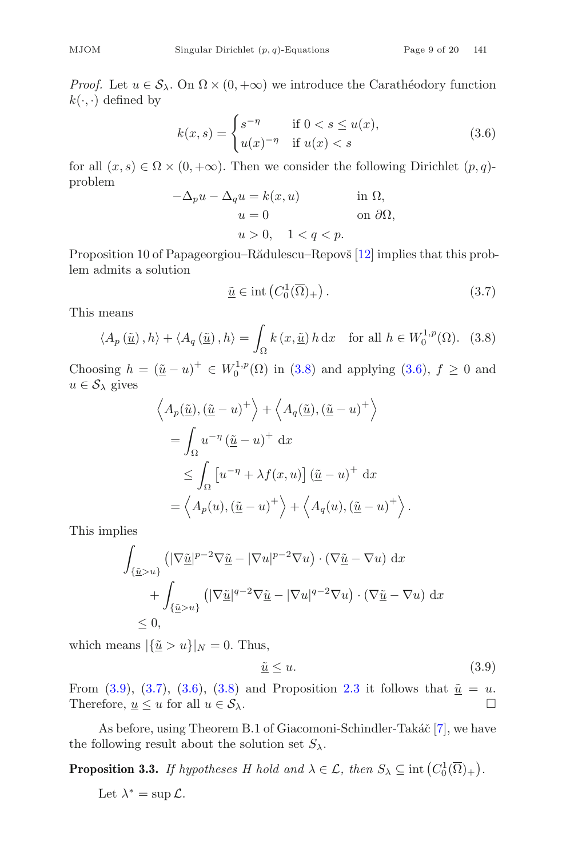*Proof.* Let  $u \in S_\lambda$ . On  $\Omega \times (0, +\infty)$  we introduce the Carathéodory function  $k(\cdot, \cdot)$  defined by

<span id="page-8-1"></span>
$$
k(x,s) = \begin{cases} s^{-\eta} & \text{if } 0 < s \le u(x), \\ u(x)^{-\eta} & \text{if } u(x) < s \end{cases}
$$
 (3.6)

for all  $(x, s) \in \Omega \times (0, +\infty)$ . Then we consider the following Dirichlet  $(p, q)$ problem

$$
-\Delta_p u - \Delta_q u = k(x, u)
$$
in  $\Omega$ ,  
\n $u = 0$  on  $\partial\Omega$ ,  
\n $u > 0$ ,  $1 < q < p$ .

 $u > 0, \quad 1 < q < p.$ <br>Proposition 10 of Papageorgiou–Rădulescu–Repovš [\[12](#page-18-2)] implies that this problem admits a solution

<span id="page-8-3"></span>
$$
\underline{\tilde{u}} \in \text{int}\left(C_0^1(\overline{\Omega})_+\right). \tag{3.7}
$$

This means

<span id="page-8-0"></span>
$$
\langle A_p(\underline{\tilde{u}}), h \rangle + \langle A_q(\underline{\tilde{u}}), h \rangle = \int_{\Omega} k(x, \underline{\tilde{u}}) h \, dx \quad \text{for all } h \in W_0^{1, p}(\Omega). \tag{3.8}
$$

Choosing  $h = (\underline{\tilde{u}} - u)^+ \in W_0^{1,p}(\Omega)$  in [\(3.8\)](#page-8-0) and applying [\(3.6\)](#page-8-1),  $f \ge 0$  and  $u \in S_2$  gives  $u \in \mathcal{S}_{\lambda}$  gives

$$
\left\langle A_p(\underline{\tilde{u}}), (\underline{\tilde{u}} - u)^+ \right\rangle + \left\langle A_q(\underline{\tilde{u}}), (\underline{\tilde{u}} - u)^+ \right\rangle
$$
  
=  $\int_{\Omega} u^{-\eta} (\underline{\tilde{u}} - u)^+ dx$   
 $\leq \int_{\Omega} [u^{-\eta} + \lambda f(x, u)] (\underline{\tilde{u}} - u)^+ dx$   
=  $\left\langle A_p(u), (\underline{\tilde{u}} - u)^+ \right\rangle + \left\langle A_q(u), (\underline{\tilde{u}} - u)^+ \right\rangle$ 

This implies

$$
\int_{\{\underline{\tilde{u}} > u\}} \left( |\nabla \underline{\tilde{u}}|^{p-2} \nabla \underline{\tilde{u}} - |\nabla u|^{p-2} \nabla u \right) \cdot \left( \nabla \underline{\tilde{u}} - \nabla u \right) dx \n+ \int_{\{\underline{\tilde{u}} > u\}} \left( |\nabla \underline{\tilde{u}}|^{q-2} \nabla \underline{\tilde{u}} - |\nabla u|^{q-2} \nabla u \right) \cdot \left( \nabla \underline{\tilde{u}} - \nabla u \right) dx \n\leq 0,
$$

which means  $|\{\underline{\tilde{u}} > u\}|_N = 0$ . Thus,

<span id="page-8-4"></span><span id="page-8-2"></span>
$$
\underline{\tilde{u}} \le u. \tag{3.9}
$$

From [\(3.9\)](#page-8-2), [\(3.7\)](#page-8-3), [\(3.6\)](#page-8-1), [\(3.8\)](#page-8-0) and Proposition [2.3](#page-5-0) it follows that  $\tilde{u} = u$ .<br>Therefore,  $u \le u$  for all  $u \in S_1$ . Therefore,  $\underline{u} \leq u$  for all  $u \in \mathcal{S}_{\lambda}$ .

As before, using Theorem B.1 of Giacomoni-Schindler-Takáč [\[7](#page-18-10)], we have the following result about the solution set  $S_{\lambda}$ .

**Proposition 3.3.** *If hypotheses H hold and*  $\lambda \in \mathcal{L}$ *, then*  $S_{\lambda} \subseteq \text{int}(C_0^1(\overline{\Omega})_+)$ *.* 

Let  $\lambda^* = \sup \mathcal{L}$ .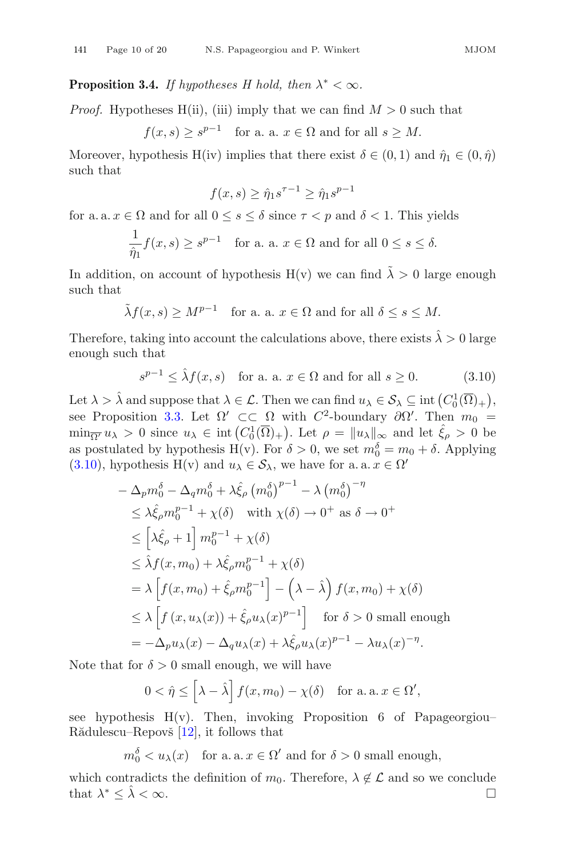**Proposition 3.4.** *If hypotheses H hold, then*  $\lambda^* < \infty$ *.* 

*Proof.* Hypotheses H(ii), (iii) imply that we can find  $M > 0$  such that

 $f(x, s) > s^{p-1}$  for a. a.  $x \in \Omega$  and for all  $s \geq M$ .

Moreover, hypothesis H(iv) implies that there exist  $\delta \in (0,1)$  and  $\hat{\eta}_1 \in (0,\hat{\eta})$ such that

$$
f(x,s) \ge \hat{\eta}_1 s^{\tau-1} \ge \hat{\eta}_1 s^{p-1}
$$

for a. a.  $x \in \Omega$  and for all  $0 \le s \le \delta$  since  $\tau < p$  and  $\delta < 1$ . This yields

$$
\frac{1}{\hat{\eta}_1} f(x, s) \ge s^{p-1} \quad \text{for a. a. } x \in \Omega \text{ and for all } 0 \le s \le \delta.
$$

In addition, on account of hypothesis  $H(v)$  we can find  $\tilde{\lambda} > 0$  large enough such that such that

$$
\tilde{\lambda}f(x,s) \ge M^{p-1}
$$
 for a. a.  $x \in \Omega$  and for all  $\delta \le s \le M$ .

Therefore, taking into account the calculations above, there exists  $\hat{\lambda} > 0$  large enough such that

<span id="page-9-0"></span>
$$
s^{p-1} \le \hat{\lambda} f(x, s) \quad \text{for a. a. } x \in \Omega \text{ and for all } s \ge 0. \tag{3.10}
$$

Let  $\lambda > \hat{\lambda}$  and suppose that  $\lambda \in \mathcal{L}$ . Then we can find  $u_{\lambda} \in \mathcal{S}_{\lambda} \subseteq \text{int}(C_0^1(\overline{\Omega})_+)$ ,<br>see Proposition 3.3. Let  $\Omega' \subseteq \subseteq \Omega$  with  $C^2$ -boundary  $\partial \Omega'$ . Then  $m_{\lambda} =$ see Proposition [3.3.](#page-8-4) Let  $\Omega' \subset\subset \Omega$  with  $C^2$ -boundary  $\partial \Omega'$ . Then  $m_0 =$ <br>min— $u_0 > 0$  since  $u_1 \in \text{int}(C^1(\overline{\Omega}))$ . Let  $a = ||u_1||$  and let  $\hat{\xi} > 0$  be  $\min_{\overline{\Omega'}} u_\lambda > 0$  since  $u_\lambda \in \text{int}\left(C_0^1(\overline{\Omega})_+\right)$ . Let  $\rho = ||u_\lambda||_\infty$  and let  $\hat{\xi}_\rho > 0$  be as postulated by hypothesis  $H(v)$ . For  $\delta > 0$ , we set  $m_0^{\delta} = m_0 + \delta$ . Applying (3.10) by hypothesis  $H(v)$  and  $u_0 \in S_2$ , we have for a a  $x \in \Omega'$ [\(3.10\)](#page-9-0), hypothesis H(v) and  $u_{\lambda} \in S_{\lambda}$ , we have for a. a.  $x \in \Omega'$ 

$$
-\Delta_p m_0^{\delta} - \Delta_q m_0^{\delta} + \lambda \hat{\xi}_{\rho} \left( m_0^{\delta} \right)^{p-1} - \lambda \left( m_0^{\delta} \right)^{-\eta}
$$
  
\n
$$
\leq \lambda \hat{\xi}_{\rho} m_0^{p-1} + \chi(\delta) \quad \text{with } \chi(\delta) \to 0^+ \text{ as } \delta \to 0^+
$$
  
\n
$$
\leq \left[ \lambda \hat{\xi}_{\rho} + 1 \right] m_0^{p-1} + \chi(\delta)
$$
  
\n
$$
\leq \hat{\lambda} f(x, m_0) + \lambda \hat{\xi}_{\rho} m_0^{p-1} + \chi(\delta)
$$
  
\n
$$
= \lambda \left[ f(x, m_0) + \hat{\xi}_{\rho} m_0^{p-1} \right] - \left( \lambda - \hat{\lambda} \right) f(x, m_0) + \chi(\delta)
$$
  
\n
$$
\leq \lambda \left[ f(x, u_{\lambda}(x)) + \hat{\xi}_{\rho} u_{\lambda}(x)^{p-1} \right] \quad \text{for } \delta > 0 \text{ small enough}
$$
  
\n
$$
= -\Delta_p u_{\lambda}(x) - \Delta_q u_{\lambda}(x) + \lambda \hat{\xi}_{\rho} u_{\lambda}(x)^{p-1} - \lambda u_{\lambda}(x)^{-\eta}.
$$

Note that for  $\delta > 0$  small enough, we will have

$$
0 < \hat{\eta} \le \left[\lambda - \hat{\lambda}\right] f(x, m_0) - \chi(\delta) \quad \text{for a. a. } x \in \Omega',
$$

see hypothesis  $H(v)$ . Then, invoking Proposition 6 of Papageorgiou– Rădulescu–Repovš  $[12]$ , it follows that

 $m_0^{\delta} < u_{\lambda}(x)$  for a. a.  $x \in \Omega'$  and for  $\delta > 0$  small enough,

which contradicts the definition of  $m_0$ . Therefore,  $\lambda \notin \mathcal{L}$  and so we conclude that  $\lambda^* \leq \hat{\lambda} \leq \infty$ . that  $\lambda^* \leq \hat{\lambda} < \infty$ .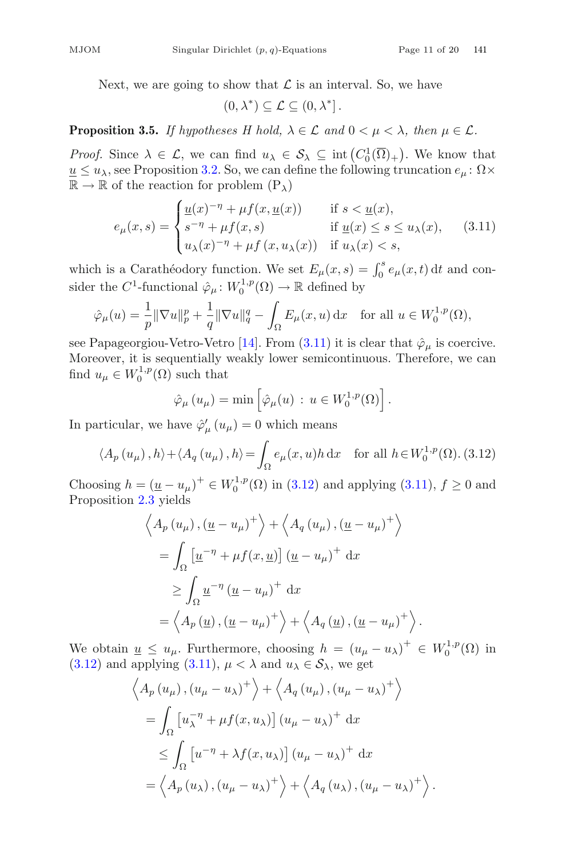Next, we are going to show that  $\mathcal L$  is an interval. So, we have

$$
(0,\lambda^*)\subseteq\mathcal{L}\subseteq(0,\lambda^*].
$$

**Proposition 3.5.** *If hypotheses H hold,*  $\lambda \in \mathcal{L}$  *and*  $0 \leq \mu \leq \lambda$ *, then*  $\mu \in \mathcal{L}$ *.* 

*Proof.* Since  $\lambda \in \mathcal{L}$ , we can find  $u_{\lambda} \in \mathcal{S}_{\lambda} \subseteq \text{int}(C_0^1(\overline{\Omega})_+)$ . We know that  $u \le u_{\lambda}$  see Proposition 3.2. So, we can define the following truncation  $e_{\lambda} \in \Omega \times$  $u \leq u_{\lambda}$ , see Proposition [3.2.](#page-7-2) So, we can define the following truncation  $e_{\mu}$ :  $\Omega \times$  $\mathbb{R} \to \mathbb{R}$  of the reaction for problem  $(P_{\lambda})$ 

<span id="page-10-0"></span>
$$
e_{\mu}(x,s) = \begin{cases} \frac{u(x)^{-\eta} + \mu f(x, \underline{u}(x))}{s^{-\eta} + \mu f(x,s)} & \text{if } s < \underline{u}(x), \\ \text{if } \underline{u}(x) \le s \le u_{\lambda}(x), \\ u_{\lambda}(x)^{-\eta} + \mu f(x, u_{\lambda}(x)) & \text{if } u_{\lambda}(x) < s, \end{cases} \tag{3.11}
$$

which is a Carathéodory function. We set  $E_{\mu}(x, s) = \int_0^s e_{\mu}(x, t) dt$  and con-<br>sides the  $C_1$  functional  $\hat{\alpha}$  +  $W^{1,p}(\Omega)$  +  $\mathbb{R}$  defined by sider the  $C^1$ -functional  $\hat{\varphi}_{\mu} \colon W_0^{1,p}(\Omega) \to \mathbb{R}$  defined by

$$
\hat{\varphi}_{\mu}(u) = \frac{1}{p} \|\nabla u\|_{p}^{p} + \frac{1}{q} \|\nabla u\|_{q}^{q} - \int_{\Omega} E_{\mu}(x, u) \, \mathrm{d}x \quad \text{for all } u \in W_{0}^{1, p}(\Omega),
$$

see Papageorgiou-Vetro-Vetro [\[14\]](#page-18-3). From [\(3.11\)](#page-10-0) it is clear that  $\hat{\varphi}_{\mu}$  is coercive.<br>Moreover it is sequentially weakly lower semicontinuous. Therefore, we can Moreover, it is sequentially weakly lower semicontinuous. Therefore, we can find  $u_{\mu} \in W_0^{1,p}(\Omega)$  such that

$$
\hat{\varphi}_{\mu}(u_{\mu}) = \min \left[ \hat{\varphi}_{\mu}(u) : u \in W_0^{1,p}(\Omega) \right]
$$

In particular, we have  $\hat{\varphi}'_{\mu}(u_{\mu}) = 0$  which means

<span id="page-10-1"></span>
$$
\langle A_p(u_\mu), h \rangle + \langle A_q(u_\mu), h \rangle = \int_{\Omega} e_\mu(x, u) h \, dx \quad \text{for all } h \in W_0^{1, p}(\Omega). \tag{3.12}
$$

Choosing  $h = (\underline{u} - u_{\mu})^+ \in W_0^{1,p}(\Omega)$  in [\(3.12\)](#page-10-1) and applying [\(3.11\)](#page-10-0),  $f \ge 0$  and Proposition 2.3 yields Proposition [2.3](#page-5-0) yields

$$
\langle A_p (u_\mu), (\underline{u} - u_\mu)^+ \rangle + \langle A_q (u_\mu), (\underline{u} - u_\mu)^+ \rangle
$$
  
= 
$$
\int_{\Omega} \left[ \underline{u}^{-\eta} + \mu f(x, \underline{u}) \right] (\underline{u} - u_\mu)^+ dx
$$
  

$$
\geq \int_{\Omega} \underline{u}^{-\eta} (\underline{u} - u_\mu)^+ dx
$$
  
= 
$$
\langle A_p (\underline{u}), (\underline{u} - u_\mu)^+ \rangle + \langle A_q (\underline{u}), (\underline{u} - u_\mu)^+ \rangle.
$$

We obtain  $\underline{u} \leq u_{\mu}$ . Furthermore, choosing  $h = (u_{\mu} - u_{\lambda})^+ \in W_0^{1,p}(\Omega)$  in (3.12) and applying (3.11)  $\mu < \lambda$  and  $u_{\lambda} \in S_0$ , we get [\(3.12\)](#page-10-1) and applying [\(3.11\)](#page-10-0),  $\mu < \lambda$  and  $u_{\lambda} \in S_{\lambda}$ , we get

$$
\left\langle A_p(u_\mu), (u_\mu - u_\lambda)^+ \right\rangle + \left\langle A_q(u_\mu), (u_\mu - u_\lambda)^+ \right\rangle
$$
  
=  $\int_{\Omega} \left[ u_\lambda^{-\eta} + \mu f(x, u_\lambda) \right] (u_\mu - u_\lambda)^+ dx$   
 $\leq \int_{\Omega} \left[ u^{-\eta} + \lambda f(x, u_\lambda) \right] (u_\mu - u_\lambda)^+ dx$   
=  $\left\langle A_p(u_\lambda), (u_\mu - u_\lambda)^+ \right\rangle + \left\langle A_q(u_\lambda), (u_\mu - u_\lambda)^+ \right\rangle$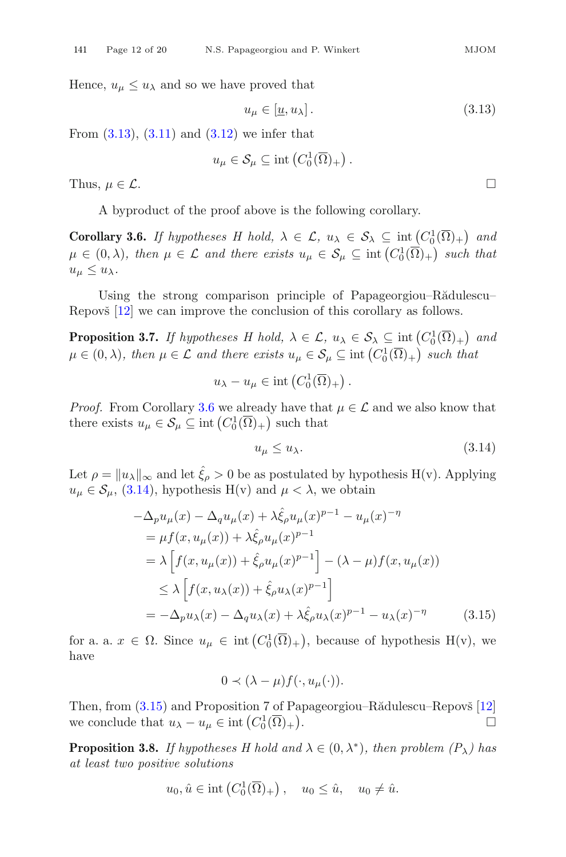Hence,  $u_{\mu} \leq u_{\lambda}$  and so we have proved that

<span id="page-11-0"></span>
$$
u_{\mu} \in [\underline{u}, u_{\lambda}]. \tag{3.13}
$$

From  $(3.13)$ ,  $(3.11)$  and  $(3.12)$  we infer that

$$
u_{\mu} \in \mathcal{S}_{\mu} \subseteq \text{int}\left(C_0^1(\overline{\Omega})_+\right).
$$

Thus,  $\mu \in \mathcal{L}$ .

A byproduct of the proof above is the following corollary.

<span id="page-11-1"></span>**Corollary 3.6.** *If hypotheses H hold,*  $\lambda \in \mathcal{L}$ ,  $u_{\lambda} \in \mathcal{S}_{\lambda} \subseteq \text{int}\left(C_0^1(\overline{\Omega})_+\right)$  and  $u \in (0, 1)$ , then  $u \in \mathcal{L}$  and then exists  $u \in \mathcal{S} \subseteq \text{int}\left(C_0^1(\overline{\Omega})_+\right)$  each that  $\mu \in (0, \lambda)$ *, then*  $\mu \in \mathcal{L}$  and there exists  $u_{\mu} \in \mathcal{S}_{\mu} \subseteq \text{int}(C_0^1(\overline{\Omega})_+)$  such that  $u_{\mu} \leq u_{\lambda}$  $u_{\mu} \leq u_{\lambda}$ .

<span id="page-11-4"></span>Using the strong comparison principle of Papageorgiou–Rădulescu– Repovš [\[12](#page-18-2)] we can improve the conclusion of this corollary as follows.

**Proposition 3.7.** *If hypotheses H hold,*  $\lambda \in \mathcal{L}$ ,  $u_{\lambda} \in \mathcal{S}_{\lambda} \subseteq \text{int}(C_0^1(\overline{\Omega})_+)$  and  $u \in (0, \lambda)$ , then  $u \in \mathcal{L}$  and there exists  $u \in \mathcal{S} \subseteq \text{int}(C_1^1(\overline{\Omega})_+)$  except that  $\mu \in (0, \lambda)$ , then  $\mu \in \mathcal{L}$  and there exists  $u_{\mu} \in \mathcal{S}_{\mu} \subseteq \text{int}\left(C_0^1(\overline{\Omega})_+\right)$  such that

$$
u_{\lambda}-u_{\mu}\in \text{int}\left(C_0^1(\overline{\Omega})_+\right).
$$

*Proof.* From Corollary [3.6](#page-11-1) we already have that  $\mu \in \mathcal{L}$  and we also know that there exists  $u_{\mu} \in \mathcal{S}_{\mu} \subseteq \text{int}\left(C_0^1(\overline{\Omega})_+\right)$  such that

<span id="page-11-2"></span>
$$
u_{\mu} \le u_{\lambda}.\tag{3.14}
$$

Let  $\rho = ||u_{\lambda}||_{\infty}$  and let  $\hat{\xi}_{\rho} > 0$  be as postulated by hypothesis H(v). Applying  $u_{\mu} \in \mathcal{S}_{\mu}$ , [\(3.14\)](#page-11-2), hypothesis H(v) and  $\mu < \lambda$ , we obtain

<span id="page-11-3"></span>
$$
-\Delta_p u_\mu(x) - \Delta_q u_\mu(x) + \lambda \hat{\xi}_\rho u_\mu(x)^{p-1} - u_\mu(x)^{-\eta}
$$
  
\n
$$
= \mu f(x, u_\mu(x)) + \lambda \hat{\xi}_\rho u_\mu(x)^{p-1}
$$
  
\n
$$
= \lambda \left[ f(x, u_\mu(x)) + \hat{\xi}_\rho u_\mu(x)^{p-1} \right] - (\lambda - \mu) f(x, u_\mu(x))
$$
  
\n
$$
\leq \lambda \left[ f(x, u_\lambda(x)) + \hat{\xi}_\rho u_\lambda(x)^{p-1} \right]
$$
  
\n
$$
= -\Delta_p u_\lambda(x) - \Delta_q u_\lambda(x) + \lambda \hat{\xi}_\rho u_\lambda(x)^{p-1} - u_\lambda(x)^{-\eta}
$$
(3.15)

for a. a.  $x \in \Omega$ . Since  $u_{\mu} \in \text{int}(C_0^1(\overline{\Omega})_+)$ , because of hypothesis  $H(v)$ , we have

$$
0 \prec (\lambda - \mu) f(\cdot, u_{\mu}(\cdot)).
$$

Then, from  $(3.15)$  and Proposition 7 of Papageorgiou–R $\ddot{\text{a}}$ dulescu–Repov $\check{\text{s}}$  [\[12\]](#page-18-2) we conclude that  $u_{\lambda} - u_{\mu} \in \text{int} (C_0^1(\overline{\Omega})_+)$ . The contract of the contract of  $\Box$ 

<span id="page-11-5"></span>**Proposition 3.8.** *If hypotheses H hold and*  $\lambda \in (0, \lambda^*)$ *, then problem*  $(P_{\lambda})$  has *at least two positive solutions*

$$
u_0, \hat{u} \in \text{int}\left(C_0^1(\overline{\Omega})_+\right), \quad u_0 \leq \hat{u}, \quad u_0 \neq \hat{u}.
$$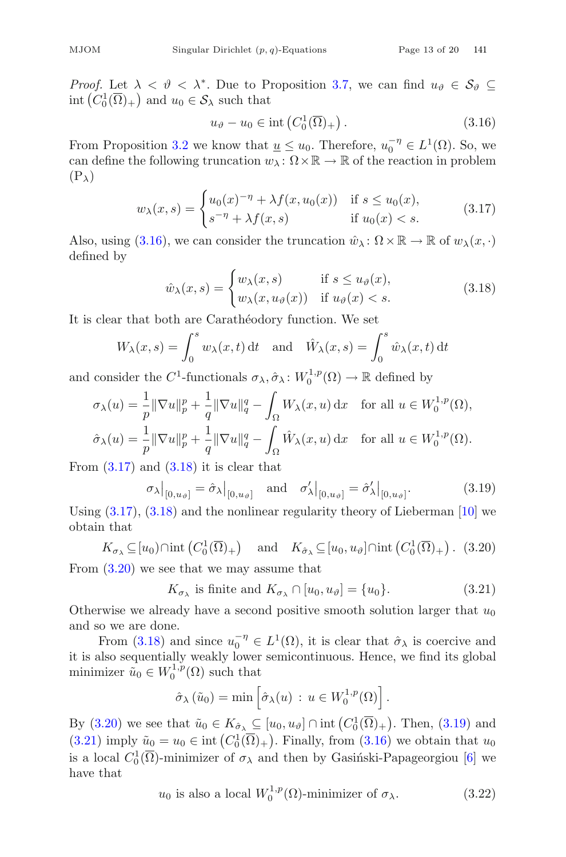*Proof.* Let  $\lambda < \vartheta < \lambda^*$ . Due to Proposition [3.7,](#page-11-4) we can find  $u_{\vartheta} \in \mathcal{S}_{\vartheta} \subseteq$ int  $(C_0^1(\overline{\Omega})_+)$  and  $u_0 \in S_\lambda$  such that

<span id="page-12-0"></span>
$$
u_{\vartheta} - u_0 \in \text{int}\left(C_0^1(\overline{\Omega})_+\right). \tag{3.16}
$$

From Proposition [3.2](#page-7-2) we know that  $\underline{u} \leq u_0$ . Therefore,  $u_0^{-\eta} \in L^1(\Omega)$ . So, we<br>can define the following truncation  $w_1 \cdot \Omega \times \mathbb{R} \to \mathbb{R}$  of the reaction in problem can define the following truncation  $w_\lambda : \Omega \times \mathbb{R} \to \mathbb{R}$  of the reaction in problem  $(P_{\lambda})$ 

<span id="page-12-1"></span>
$$
w_{\lambda}(x,s) = \begin{cases} u_0(x)^{-\eta} + \lambda f(x, u_0(x)) & \text{if } s \le u_0(x), \\ s^{-\eta} + \lambda f(x,s) & \text{if } u_0(x) < s. \end{cases}
$$
(3.17)

Also, using [\(3.16\)](#page-12-0), we can consider the truncation  $\hat{w}_{\lambda} : \Omega \times \mathbb{R} \to \mathbb{R}$  of  $w_{\lambda}(x, \cdot)$ defined by

<span id="page-12-2"></span>
$$
\hat{w}_{\lambda}(x,s) = \begin{cases} w_{\lambda}(x,s) & \text{if } s \le u_{\vartheta}(x), \\ w_{\lambda}(x,u_{\vartheta}(x)) & \text{if } u_{\vartheta}(x) < s. \end{cases}
$$
\n(3.18)

It is clear that both are Carathéodory function. We set

$$
W_{\lambda}(x,s) = \int_0^s w_{\lambda}(x,t) dt \text{ and } \hat{W}_{\lambda}(x,s) = \int_0^s \hat{w}_{\lambda}(x,t) dt
$$

and consider the  $C^1$ -functionals  $\sigma_\lambda$ ,  $\hat{\sigma}_\lambda$ :  $W_0^{1,p}(\Omega) \to \mathbb{R}$  defined by

$$
\sigma_{\lambda}(u) = \frac{1}{p} \|\nabla u\|_{p}^{p} + \frac{1}{q} \|\nabla u\|_{q}^{q} - \int_{\Omega} W_{\lambda}(x, u) dx \quad \text{for all } u \in W_{0}^{1, p}(\Omega),
$$
  

$$
\hat{\sigma}_{\lambda}(u) = \frac{1}{p} \|\nabla u\|_{p}^{p} + \frac{1}{q} \|\nabla u\|_{q}^{q} - \int_{\Omega} \hat{W}_{\lambda}(x, u) dx \quad \text{for all } u \in W_{0}^{1, p}(\Omega).
$$

From  $(3.17)$  and  $(3.18)$  it is clear that

<span id="page-12-4"></span>
$$
\sigma_{\lambda}|_{[0,u_{\vartheta}]} = \hat{\sigma}_{\lambda}|_{[0,u_{\vartheta}]} \quad \text{and} \quad \sigma_{\lambda}'|_{[0,u_{\vartheta}]} = \hat{\sigma}_{\lambda}'|_{[0,u_{\vartheta}]}.
$$
 (3.19)

Using  $(3.17)$ ,  $(3.18)$  and the nonlinear regularity theory of Lieberman [\[10](#page-18-12)] we obtain that

<span id="page-12-3"></span> $K_{\sigma_{\lambda}} \subseteq [u_0) \cap \text{int} (C_0^1(\overline{\Omega})_+) \text{ and } K_{\hat{\sigma}_{\lambda}} \subseteq [u_0, u_{\vartheta}] \cap \text{int} (C_0^1(\overline{\Omega})_+)$ . (3.20) From [\(3.20\)](#page-12-3) we see that we may assume that

<span id="page-12-5"></span>
$$
K_{\sigma_{\lambda}} \text{ is finite and } K_{\sigma_{\lambda}} \cap [u_0, u_{\vartheta}] = \{u_0\}. \tag{3.21}
$$

Otherwise we already have a second positive smooth solution larger that  $u_0$ and so we are done.

From [\(3.18\)](#page-12-2) and since  $u_0^{-\eta} \in L^1(\Omega)$ , it is clear that  $\hat{\sigma}_{\lambda}$  is coercive and<br>plso sequentially weakly lower semicontinuous. Hence, we find its global it is also sequentially weakly lower semicontinuous. Hence, we find its global minimizer  $\tilde{u}_0 \in W_0^{1,p}(\Omega)$  such that

$$
\hat{\sigma}_{\lambda}(\tilde{u}_0) = \min \left[ \hat{\sigma}_{\lambda}(u) : u \in W_0^{1,p}(\Omega) \right]
$$

By [\(3.20\)](#page-12-3) we see that  $\tilde{u}_0 \in K_{\hat{\sigma}_{\lambda}} \subseteq [u_0, u_{\vartheta}] \cap \text{int}(C_0^1(\overline{\Omega})_+)$ . Then, [\(3.19\)](#page-12-4) and<br>(2.31) imply  $\tilde{u}_0 = u_0 \in \text{int}(C_0^1(\overline{\Omega})_+)$ . Finally, from (2.16) we obtain that  $u_0$  $(3.21)$  imply  $\tilde{u}_0 = u_0 \in \text{int}(C_0^1(\overline{\Omega})_+)$ . Finally, from  $(3.16)$  we obtain that  $u_0$ <br>is a local  $C_0^1(\overline{\Omega})$  minimizer of  $\tau$  and then by Casiásli Banagaragian [6] we is a local  $C_0^1(\overline{\Omega})$ -minimizer of  $\sigma_{\lambda}$  and then by Gasiński-Papageorgiou [\[6\]](#page-18-13) we<br>have that have that

<span id="page-12-6"></span>
$$
u_0
$$
 is also a local  $W_0^{1,p}(\Omega)$ -minimizer of  $\sigma_\lambda$ . (3.22)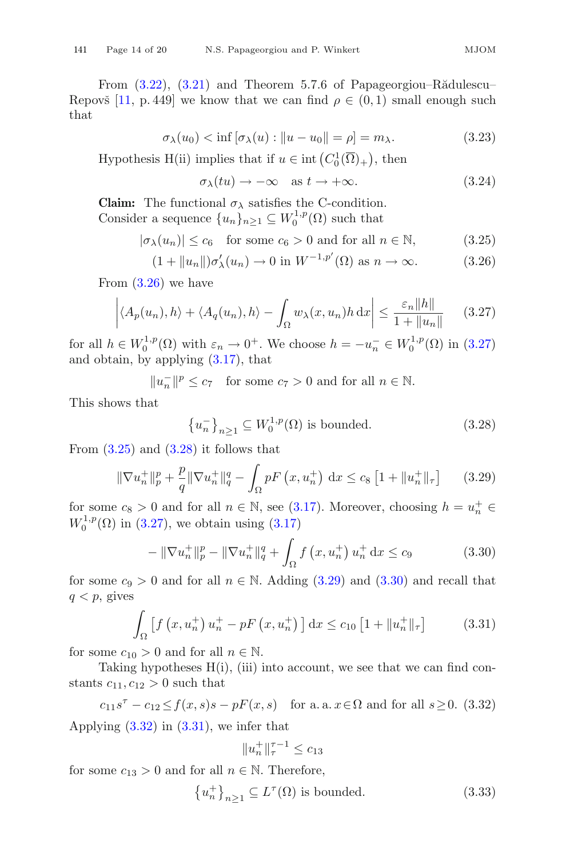From  $(3.22)$ ,  $(3.21)$  and Theorem 5.7.6 of Papageorgiou–Rădulescu– Repovš [\[11,](#page-18-14) p. 449] we know that we can find  $\rho \in (0,1)$  small enough such that

<span id="page-13-8"></span>
$$
\sigma_{\lambda}(u_0) < \inf \left[ \sigma_{\lambda}(u) : \|u - u_0\| = \rho \right] = m_{\lambda}.\tag{3.23}
$$

Hypothesis H(ii) implies that if  $u \in \text{int}(C_0^1(\overline{\Omega})_+)$ , then

<span id="page-13-9"></span>
$$
\sigma_{\lambda}(tu) \to -\infty \quad \text{as } t \to +\infty. \tag{3.24}
$$

**Claim:** The functional  $\sigma_{\lambda}$  satisfies the C-condition. Consider a sequence  $\{u_n\}_{n\geq 1} \subseteq W_0^{1,p}(\Omega)$  such that

<span id="page-13-0"></span>
$$
|\sigma_{\lambda}(u_n)| \le c_6 \quad \text{for some } c_6 > 0 \text{ and for all } n \in \mathbb{N}, \tag{3.25}
$$

$$
(1 + \|u_n\|)\sigma'_{\lambda}(u_n) \to 0 \text{ in } W^{-1,p'}(\Omega) \text{ as } n \to \infty.
$$
 (3.26)

From  $(3.26)$  we have

<span id="page-13-1"></span>
$$
\left| \langle A_p(u_n), h \rangle + \langle A_q(u_n), h \rangle - \int_{\Omega} w_{\lambda}(x, u_n) h \, dx \right| \le \frac{\varepsilon_n \|h\|}{1 + \|u_n\|} \tag{3.27}
$$

for all  $h \in W_0^{1,p}(\Omega)$  with  $\varepsilon_n \to 0^+$ . We choose  $h = -u_n^- \in W_0^{1,p}(\Omega)$  in [\(3.27\)](#page-13-1) and obtain, by applying [\(3.17\)](#page-12-1), that

 $||u_n||^p \le c_7$  for some  $c_7 > 0$  and for all  $n \in \mathbb{N}$ .

This shows that

<span id="page-13-2"></span>
$$
\left\{u_n^-\right\}_{n\geq 1} \subseteq W_0^{1,p}(\Omega) \text{ is bounded.}
$$
\n
$$
(3.28)
$$

From  $(3.25)$  and  $(3.28)$  it follows that

<span id="page-13-3"></span>
$$
\|\nabla u_n^+\|_p^p + \frac{p}{q} \|\nabla u_n^+\|_q^q - \int_{\Omega} pF\left(x, u_n^+\right) \, \mathrm{d}x \le c_8 \left[1 + \|u_n^+\|_{\tau}\right] \tag{3.29}
$$

for some  $c_8 > 0$  and for all  $n \in \mathbb{N}$ , see [\(3.17\)](#page-12-1). Moreover, choosing  $h = u_n^+ \in W^{1,p}(\Omega)$  in (3.27), we obtain using (3.17)  $W_0^{1,p}(\Omega)$  in [\(3.27\)](#page-13-1), we obtain using [\(3.17\)](#page-12-1)

<span id="page-13-4"></span>
$$
-\|\nabla u_n^+\|_p^p - \|\nabla u_n^+\|_q^q + \int_{\Omega} f\left(x, u_n^+\right) u_n^+ \,dx \le c_9 \tag{3.30}
$$

for some  $c_9 > 0$  and for all  $n \in \mathbb{N}$ . Adding [\(3.29\)](#page-13-3) and [\(3.30\)](#page-13-4) and recall that  $q < p$ , gives

<span id="page-13-6"></span>
$$
\int_{\Omega} \left[ f \left( x, u_n^+ \right) u_n^+ - p F \left( x, u_n^+ \right) \right] dx \le c_{10} \left[ 1 + \| u_n^+ \|_{\tau} \right] \tag{3.31}
$$

for some  $c_{10} > 0$  and for all  $n \in \mathbb{N}$ .

Taking hypotheses  $H(i)$ , (iii) into account, we see that we can find constants  $c_{11}, c_{12} > 0$  such that

<span id="page-13-5"></span> $c_{11}s^{\tau} - c_{12} \le f(x, s)s - pF(x, s)$  for a. a.  $x \in \Omega$  and for all  $s \ge 0$ . (3.32) Applying  $(3.32)$  in  $(3.31)$ , we infer that

$$
||u_n^+||_{\tau}^{\tau-1} \le c_{13}
$$

for some  $c_{13} > 0$  and for all  $n \in \mathbb{N}$ . Therefore,

<span id="page-13-7"></span>
$$
\{u_n^+\}_{n\geq 1} \subseteq L^\tau(\Omega) \text{ is bounded.}
$$
 (3.33)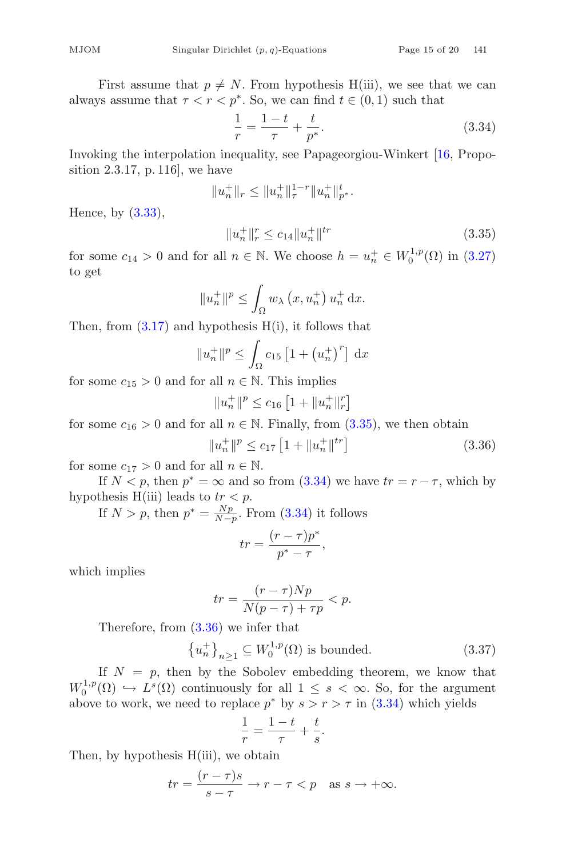First assume that  $p \neq N$ . From hypothesis H(iii), we see that we can always assume that  $\tau < r < p^*$ . So, we can find  $t \in (0, 1)$  such that

$$
\frac{1}{r} = \frac{1-t}{\tau} + \frac{t}{p^*}.
$$
\nInvoking the interpolation inequality, see Papageorgiou-Winkert [16, Propo-

sition 2.3.17, p. 116], we have

<span id="page-14-1"></span>
$$
||u_n^+||_r \le ||u_n^+||_r^{1-r} ||u_n^+||_{p^*}^t.
$$

Hence, by [\(3.33\)](#page-13-7),

<span id="page-14-0"></span>
$$
||u_n^+||_r^r \le c_{14}||u_n^+||^{tr}
$$
\n(3.35)

for some  $c_{14} > 0$  and for all  $n \in \mathbb{N}$ . We choose  $h = u_n^+ \in W_0^{1,p}(\Omega)$  in  $(3.27)$ to get

$$
||u_n^+||^p \le \int_{\Omega} w_{\lambda} (x, u_n^+) u_n^+ dx.
$$

Then, from  $(3.17)$  and hypothesis  $H(i)$ , it follows that

$$
||u_n^+||^p \le \int_{\Omega} c_{15} [1 + (u_n^+)^r] dx
$$

for some  $c_{15} > 0$  and for all  $n \in \mathbb{N}$ . This implies

$$
||u_n^+||^p \le c_{16} \left[1 + ||u_n^+||_r^r\right]
$$

for some  $c_{16} > 0$  and for all  $n \in \mathbb{N}$ . Finally, from  $(3.35)$ , we then obtain

<span id="page-14-2"></span>
$$
||u_n^+||^p \le c_{17} \left[1 + ||u_n^+||^{tr}\right] \tag{3.36}
$$

for some  $c_{17} > 0$  and for all  $n \in \mathbb{N}$ .

If  $N < p$ , then  $p^* = \infty$  and so from [\(3.34\)](#page-14-1) we have  $tr = r - \tau$ , which by hypothesis H(iii) leads to  $tr < p$ .

If  $N > p$ , then  $p^* = \frac{Np}{N-p}$ . From [\(3.34\)](#page-14-1) it follows

$$
tr = \frac{(r - \tau)p^*}{p^* - \tau},
$$

which implies

$$
tr = \frac{(r - \tau)Np}{N(p - \tau) + \tau p} < p.
$$

Therefore, from [\(3.36\)](#page-14-2) we infer that

<span id="page-14-3"></span>
$$
\left\{u_n^+\right\}_{n\geq 1} \subseteq W_0^{1,p}(\Omega) \text{ is bounded.} \tag{3.37}
$$

If  $N = p$ , then by the Sobolev embedding theorem, we know that  $W_0^{1,p}(\Omega) \hookrightarrow L^s(\Omega)$  continuously for all  $1 \leq s < \infty$ . So, for the argument<br>above to work, we need to replace  $n^*$  by  $s > r > \tau$  in (3.34) which vields above to work, we need to replace  $p^*$  by  $s > r > \tau$  in  $(3.34)$  which yields

$$
\frac{1}{r} = \frac{1-t}{\tau} + \frac{t}{s}.
$$

Then, by hypothesis H(iii), we obtain

$$
tr = \frac{(r - \tau)s}{s - \tau} \to r - \tau < p \quad \text{as } s \to +\infty.
$$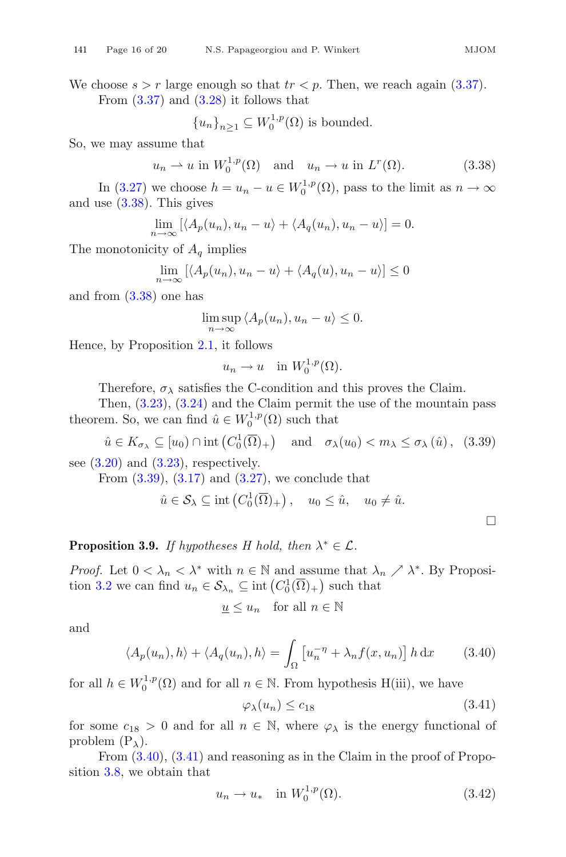We choose  $s > r$  large enough so that  $tr < p$ . Then, we reach again [\(3.37\)](#page-14-3). From  $(3.37)$  and  $(3.28)$  it follows that

$$
{u_n}_{n\geq 1} \subseteq W_0^{1,p}(\Omega)
$$
 is bounded.

So, we may assume that

<span id="page-15-0"></span> $u_n \rightharpoonup u$  in  $W_0^{1,p}(\Omega)$  and  $u_n \rightharpoonup u$  in  $L^r(\Omega)$ . (3.38)

In [\(3.27\)](#page-13-1) we choose  $h = u_n - u \in W_0^{1,p}(\Omega)$ , pass to the limit as  $n \to \infty$ and use [\(3.38\)](#page-15-0). This gives

$$
\lim_{n \to \infty} [\langle A_p(u_n), u_n - u \rangle + \langle A_q(u_n), u_n - u \rangle] = 0.
$$

The monotonicity of  $A<sub>a</sub>$  implies

$$
\lim_{n \to \infty} [\langle A_p(u_n), u_n - u \rangle + \langle A_q(u), u_n - u \rangle] \le 0
$$

and from [\(3.38\)](#page-15-0) one has

$$
\limsup_{n \to \infty} \langle A_p(u_n), u_n - u \rangle \le 0.
$$

Hence, by Proposition [2.1,](#page-2-1) it follows

$$
u_n \to u \quad \text{in } W_0^{1,p}(\Omega).
$$

Therefore,  $\sigma_{\lambda}$  satisfies the C-condition and this proves the Claim.<br>Then (3.23) (3.24) and the Claim permit the use of the mountain

Then,  $(3.23)$ ,  $(3.24)$  and the Claim permit the use of the mountain pass theorem. So, we can find  $\hat{u} \in W_0^{1,p}(\Omega)$  such that

<span id="page-15-1"></span> $\hat{u} \in K_{\sigma_{\lambda}} \subseteq [u_0) \cap \text{int} (C_0^1(\overline{\Omega})_+) \text{ and } \sigma_{\lambda}(u_0) < m_{\lambda} \le \sigma_{\lambda} (\hat{u}),$  (3.39) see  $(3.20)$  and  $(3.23)$ , respectively.

From  $(3.39)$ ,  $(3.17)$  and  $(3.27)$ , we conclude that

$$
\hat{u} \in \mathcal{S}_{\lambda} \subseteq \text{int}\left(C_0^1(\overline{\Omega})_+\right), \quad u_0 \leq \hat{u}, \quad u_0 \neq \hat{u}.
$$

**Proposition 3.9.** *If hypotheses H hold, then*  $\lambda^* \in \mathcal{L}$ *.* 

*Proof.* Let  $0 < \lambda_n < \lambda^*$  with  $n \in \mathbb{N}$  and assume that  $\lambda_n \nearrow \lambda^*$ . By Proposi-tion [3.2](#page-7-2) we can find  $u_n \in \mathcal{S}_{\lambda_n} \subseteq \text{int}\left(C_0^1(\overline{\Omega})_+\right)$  such that

$$
\underline{u} \le u_n \quad \text{for all } n \in \mathbb{N}
$$

and

<span id="page-15-2"></span>
$$
\langle A_p(u_n), h \rangle + \langle A_q(u_n), h \rangle = \int_{\Omega} \left[ u_n^{-\eta} + \lambda_n f(x, u_n) \right] h \, dx \tag{3.40}
$$

for all  $h \in W_0^{1,p}(\Omega)$  and for all  $n \in \mathbb{N}$ . From hypothesis H(iii), we have

<span id="page-15-3"></span>
$$
\varphi_{\lambda}(u_n) \le c_{18} \tag{3.41}
$$

for some  $c_{18} > 0$  and for all  $n \in \mathbb{N}$ , where  $\varphi_{\lambda}$  is the energy functional of problem  $(P_\lambda)$ .

From  $(3.40)$ ,  $(3.41)$  and reasoning as in the Claim in the proof of Proposition [3.8,](#page-11-5) we obtain that

<span id="page-15-4"></span>
$$
u_n \to u_* \quad \text{in } W_0^{1,p}(\Omega). \tag{3.42}
$$

 $\Box$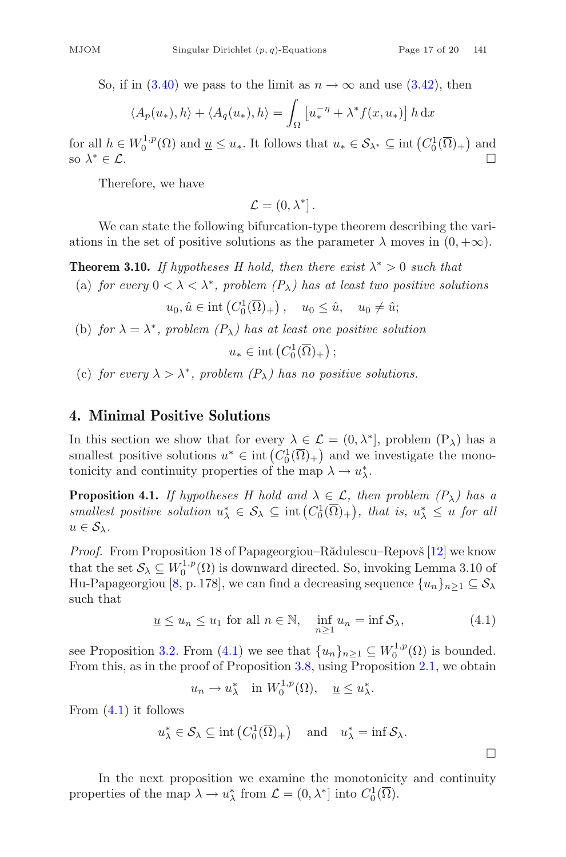So, if in [\(3.40\)](#page-15-2) we pass to the limit as  $n \to \infty$  and use [\(3.42\)](#page-15-4), then

$$
\langle A_p(u_*) , h \rangle + \langle A_q(u_*) , h \rangle = \int_{\Omega} \left[ u_*^{-\eta} + \lambda^* f(x, u_*) \right] h \, dx
$$

for all  $h \in W_0^{1,p}(\Omega)$  and  $\underline{u} \le u_*$ . It follows that  $u_* \in \mathcal{S}_{\lambda^*} \subseteq \text{int}(C_0^1(\overline{\Omega})_+)$  and  $\underline{u} \le u_*$ . It follows that  $u_* \in \mathcal{S}_{\lambda^*} \subseteq \text{int}(C_0^1(\overline{\Omega})_+)$ so  $\lambda^* \in \mathcal{L}$ .

Therefore, we have

 $\mathcal{L} = (0, \lambda^*].$ 

We can state the following bifurcation-type theorem describing the variations in the set of positive solutions as the parameter  $\lambda$  moves in  $(0, +\infty)$ .

**Theorem 3.10.** *If hypotheses H hold, then there exist*  $\lambda^* > 0$  *such that* 

(a) *for every*  $0 < \lambda < \lambda^*$ *, problem*  $(P_{\lambda})$  *has at least two positive solutions* 

$$
u_0, \hat{u} \in \text{int}\left(C_0^1(\overline{\Omega})_+\right), \quad u_0 \leq \hat{u}, \quad u_0 \neq \hat{u};
$$

(b) *for*  $\lambda = \lambda^*$ *, problem*  $(P_{\lambda})$  *has at least one positive solution* 

 $u_* \in \text{int}\left(C_0^1(\overline{\Omega})_+\right);$ 

(c) *for every*  $\lambda > \lambda^*$ *, problem*  $(P_{\lambda})$  *has no positive solutions.* 

## **4. Minimal Positive Solutions**

In this section we show that for every  $\lambda \in \mathcal{L} = (0, \lambda^*]$ , problem  $(P_{\lambda})$  has a smallest positive solutions  $u^* \in \text{int}\left(C_0^1(\overline{\Omega})_+\right)$  and we investigate the mono-<br>tonicity and continuity properties of the map  $\lambda \to u^*$ tonicity and continuity properties of the map  $\lambda \to u_{\lambda}^*$ .

**Proposition 4.1.** *If hypotheses H hold and*  $\lambda \in \mathcal{L}$ , then problem  $(P_{\lambda})$  has a *smallest positive solution*  $u^*_{\lambda} \in \mathcal{S}_{\lambda} \subseteq \text{int}(C_0^1(\overline{\Omega})_+)$ , that is,  $u^*_{\lambda} \leq u$  for all  $u \in \mathcal{S}_{\lambda}$ .  $u \in \mathcal{S}_{\lambda}$ .

*Proof.* From Proposition 18 of Papageorgiou–Rădulescu–Repovš [\[12](#page-18-2)] we know that the set  $S_{\lambda} \subseteq W_0^{1,p}(\Omega)$  is downward directed. So, invoking Lemma 3.10 of<br>Hu-Papageorgiou [8, p. 178], we can find a decreasing sequence  $\{u, \lambda\}$ ,  $\subset S$ . Hu-Papageorgiou [\[8,](#page-18-15) p. 178], we can find a decreasing sequence  $\{u_n\}_{n>1} \subseteq S_\lambda$ such that

<span id="page-16-0"></span>
$$
\underline{u} \le u_n \le u_1 \text{ for all } n \in \mathbb{N}, \quad \inf_{n \ge 1} u_n = \inf \mathcal{S}_\lambda,\tag{4.1}
$$

see Proposition [3.2.](#page-7-2) From  $(4.1)$  we see that  $\{u_n\}_{n\geq 1} \subseteq W_0^{1,p}(\Omega)$  is bounded.<br>From this as in the proof of Proposition 3.8, using Proposition 2.1, we obtain From this, as in the proof of Proposition [3.8,](#page-11-5) using Proposition [2.1,](#page-2-1) we obtain

$$
u_n \to u_\lambda^*
$$
 in  $W_0^{1,p}(\Omega)$ ,  $\underline{u} \leq u_\lambda^*$ .

From  $(4.1)$  it follows

$$
u_{\lambda}^* \in \mathcal{S}_{\lambda} \subseteq \text{int}\left(C_0^1(\overline{\Omega})_+\right) \quad \text{and} \quad u_{\lambda}^* = \text{inf}\,\mathcal{S}_{\lambda}.
$$

In the next proposition we examine the monotonicity and continuity properties of the map  $\lambda \to u_{\lambda}^*$  from  $\mathcal{L} = (0, \lambda^*]$  into  $C_0^1(\overline{\Omega})$ .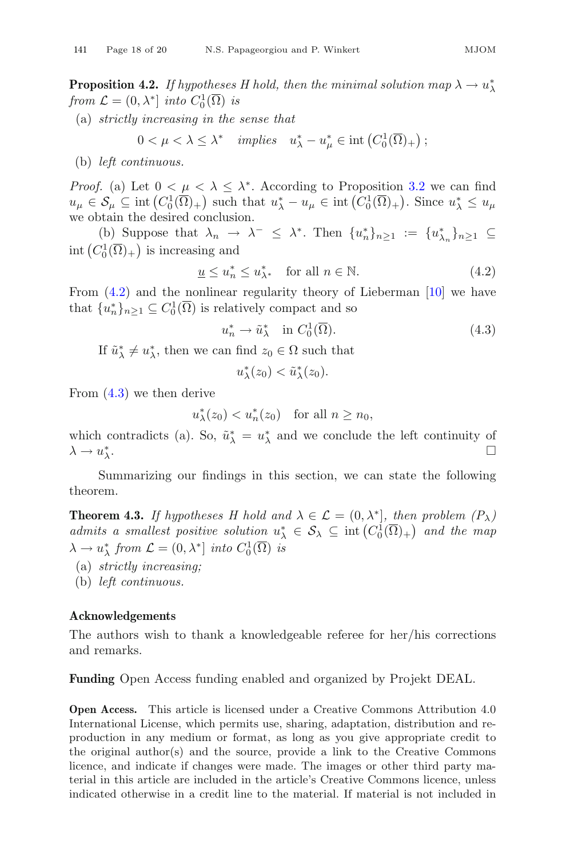**Proposition 4.2.** *If hypotheses H hold, then the minimal solution map*  $\lambda \to u_{\lambda}^*$ <br>from  $\mathcal{L} = (0, \lambda^*]$  into  $C^1(\overline{O})$  is *from*  $\mathcal{L} = (0, \lambda^*)$  *into*  $C_0^1(\overline{\Omega})$  *is* 

(a) *strictly increasing in the sense that*

$$
0 < \mu < \lambda \le \lambda^* \quad implies \quad u_{\lambda}^* - u_{\mu}^* \in \text{int}\left(C_0^1(\overline{\Omega})_+\right);
$$

(b) *left continuous.*

*Proof.* (a) Let  $0 < \mu < \lambda \leq \lambda^*$ . According to Proposition [3.2](#page-7-2) we can find  $u_{\mu} \in \mathcal{S}_{\mu} \subseteq \text{int}\left(C_0^1(\overline{\Omega})_+\right)$  such that  $u_{\lambda}^* - u_{\mu} \in \text{int}\left(C_0^1(\overline{\Omega})_+\right)$ . Since  $u_{\lambda}^* \leq u_{\mu}$ <br>we obtain the desired conclusion we obtain the desired conclusion.

(b) Suppose that  $\lambda_n \to \lambda^- \leq \lambda^*$ . Then  $\{u_n^*\}_{n\geq 1} := \{u_{\lambda_n}^*\}_{n\geq 1} \subseteq$ int  $(C_0^1(\overline{\Omega})_+)$  is increasing and

<span id="page-17-0"></span>
$$
\underline{u} \le u_n^* \le u_{\lambda^*}^* \quad \text{for all } n \in \mathbb{N}.
$$
\n(4.2)

From  $(4.2)$  and the nonlinear regularity theory of Lieberman [\[10](#page-18-12)] we have that  ${u_n^*}_{n \geq 1} \subseteq C_0^1(\overline{\Omega})$  is relatively compact and so

<span id="page-17-1"></span>
$$
u_n^* \to \tilde{u}_\lambda^* \quad \text{in } C_0^1(\overline{\Omega}). \tag{4.3}
$$

If  $\tilde{u}^*_{\lambda} \neq u^*_{\lambda}$ , then we can find  $z_0 \in \Omega$  such that

$$
u_{\lambda}^*(z_0) < \tilde{u}_{\lambda}^*(z_0).
$$

From [\(4.3\)](#page-17-1) we then derive

$$
u_{\lambda}^*(z_0) < u_n^*(z_0) \quad \text{for all } n \ge n_0,
$$

which contradicts (a). So,  $\tilde{u}^*_{\lambda} = u^*_{\lambda}$  and we conclude the left continuity of  $\lambda \rightarrow u_{\lambda}^*$ .  $\lambda$ .

Summarizing our findings in this section, we can state the following theorem.

**Theorem 4.3.** *If hypotheses H hold and*  $\lambda \in \mathcal{L} = (0, \lambda^*)$ *, then problem*  $(P_{\lambda})$ *admits a smallest positive solution*  $u_{\lambda}^{*} \in S_{\lambda} \subseteq \text{int}(C_{0}^{1}(\overline{\Omega})_{+})$  *and the map*<br>  $\lambda \rightarrow u^{*}$  from  $C = (0, \lambda^{*}]$  into  $C_{0}^{1}(\overline{\Omega})$  is  $\lambda \to u_{\lambda}^*$  from  $\mathcal{L} = (0, \lambda^*]$  *into*  $C_0^1(\overline{\Omega})$  *is* 

- (a) *strictly increasing;*
- (b) *left continuous.*

#### **Acknowledgements**

The authors wish to thank a knowledgeable referee for her/his corrections and remarks.

**Funding** Open Access funding enabled and organized by Projekt DEAL.

**Open Access.** This article is licensed under a Creative Commons Attribution 4.0 International License, which permits use, sharing, adaptation, distribution and reproduction in any medium or format, as long as you give appropriate credit to the original author(s) and the source, provide a link to the Creative Commons licence, and indicate if changes were made. The images or other third party material in this article are included in the article's Creative Commons licence, unless indicated otherwise in a credit line to the material. If material is not included in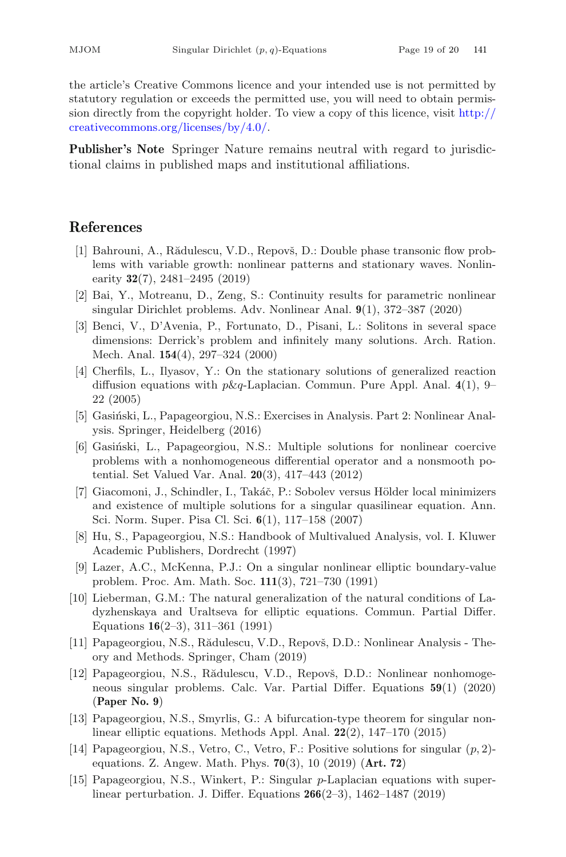the article's Creative Commons licence and your intended use is not permitted by statutory regulation or exceeds the permitted use, you will need to obtain permission directly from the copyright holder. To view a copy of this licence, visit [http://](http://creativecommons.org/licenses/by/4.0/) [creativecommons.org/licenses/by/4.0/.](http://creativecommons.org/licenses/by/4.0/)

**Publisher's Note** Springer Nature remains neutral with regard to jurisdictional claims in published maps and institutional affiliations.

#### <span id="page-18-1"></span>**References**

- <span id="page-18-5"></span>[1] Bahrouni, A., Rădulescu, V.D., Repovš, D.: Double phase transonic flow problems with variable growth: nonlinear patterns and stationary waves. Nonlinearity **32**(7), 2481–2495 (2019)
- <span id="page-18-4"></span>[2] Bai, Y., Motreanu, D., Zeng, S.: Continuity results for parametric nonlinear singular Dirichlet problems. Adv. Nonlinear Anal. **9**(1), 372–387 (2020)
- <span id="page-18-6"></span>[3] Benci, V., D'Avenia, P., Fortunato, D., Pisani, L.: Solitons in several space dimensions: Derrick's problem and infinitely many solutions. Arch. Ration. Mech. Anal. **154**(4), 297–324 (2000)
- <span id="page-18-7"></span>[4] Cherfils, L., Ilyasov, Y.: On the stationary solutions of generalized reaction diffusion equations with  $p\&q$ -Laplacian. Commun. Pure Appl. Anal.  $4(1)$ , 9– 22 (2005)
- <span id="page-18-8"></span>[5] Gasiński, L., Papageorgiou, N.S.: Exercises in Analysis. Part 2: Nonlinear Analysis. Springer, Heidelberg (2016)
- <span id="page-18-13"></span>[6] Gasiński, L., Papageorgiou, N.S.: Multiple solutions for nonlinear coercive problems with a nonhomogeneous differential operator and a nonsmooth potential. Set Valued Var. Anal. **20**(3), 417–443 (2012)
- <span id="page-18-10"></span>[7] Giacomoni, J., Schindler, I., Takáč, P.: Sobolev versus Hölder local minimizers and existence of multiple solutions for a singular quasilinear equation. Ann. Sci. Norm. Super. Pisa Cl. Sci. **6**(1), 117–158 (2007)
- <span id="page-18-15"></span>[8] Hu, S., Papageorgiou, N.S.: Handbook of Multivalued Analysis, vol. I. Kluwer Academic Publishers, Dordrecht (1997)
- <span id="page-18-9"></span>[9] Lazer, A.C., McKenna, P.J.: On a singular nonlinear elliptic boundary-value problem. Proc. Am. Math. Soc. **111**(3), 721–730 (1991)
- <span id="page-18-12"></span>[10] Lieberman, G.M.: The natural generalization of the natural conditions of Ladyzhenskaya and Uraltseva for elliptic equations. Commun. Partial Differ. Equations **16**(2–3), 311–361 (1991)
- <span id="page-18-14"></span>[11] Papageorgiou, N.S., Rădulescu, V.D., Repovš, D.D.: Nonlinear Analysis - Theory and Methods. Springer, Cham (2019)
- <span id="page-18-2"></span>[12] Papageorgiou, N.S., Rădulescu, V.D., Repovš, D.D.: Nonlinear nonhomogeneous singular problems. Calc. Var. Partial Differ. Equations **59**(1) (2020) (**Paper No. 9**)
- <span id="page-18-11"></span>[13] Papageorgiou, N.S., Smyrlis, G.: A bifurcation-type theorem for singular nonlinear elliptic equations. Methods Appl. Anal. **22**(2), 147–170 (2015)
- <span id="page-18-3"></span>[14] Papageorgiou, N.S., Vetro, C., Vetro, F.: Positive solutions for singular (p, 2) equations. Z. Angew. Math. Phys. **70**(3), 10 (2019) (**Art. 72**)
- <span id="page-18-0"></span>[15] Papageorgiou, N.S., Winkert, P.: Singular p-Laplacian equations with superlinear perturbation. J. Differ. Equations **266**(2–3), 1462–1487 (2019)